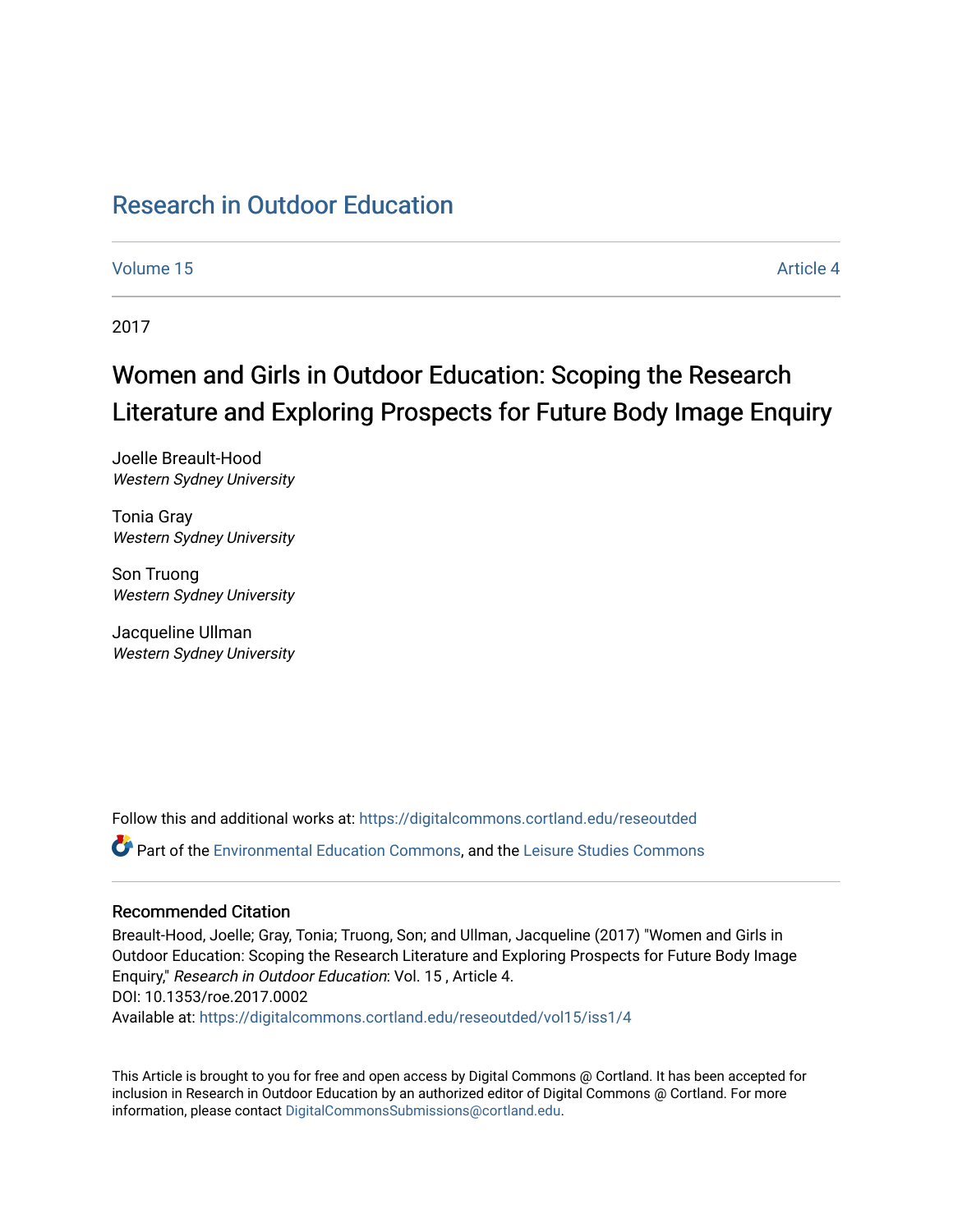## [Research in Outdoor Education](https://digitalcommons.cortland.edu/reseoutded)

[Volume 15](https://digitalcommons.cortland.edu/reseoutded/vol15) Article 4

2017

# Women and Girls in Outdoor Education: Scoping the Research Literature and Exploring Prospects for Future Body Image Enquiry

Joelle Breault-Hood Western Sydney University

Tonia Gray Western Sydney University

Son Truong Western Sydney University

Jacqueline Ullman Western Sydney University

Follow this and additional works at: [https://digitalcommons.cortland.edu/reseoutded](https://digitalcommons.cortland.edu/reseoutded?utm_source=digitalcommons.cortland.edu%2Freseoutded%2Fvol15%2Fiss1%2F4&utm_medium=PDF&utm_campaign=PDFCoverPages)

Part of the [Environmental Education Commons](http://network.bepress.com/hgg/discipline/1305?utm_source=digitalcommons.cortland.edu%2Freseoutded%2Fvol15%2Fiss1%2F4&utm_medium=PDF&utm_campaign=PDFCoverPages), and the [Leisure Studies Commons](http://network.bepress.com/hgg/discipline/1197?utm_source=digitalcommons.cortland.edu%2Freseoutded%2Fvol15%2Fiss1%2F4&utm_medium=PDF&utm_campaign=PDFCoverPages) 

#### Recommended Citation

Breault-Hood, Joelle; Gray, Tonia; Truong, Son; and Ullman, Jacqueline (2017) "Women and Girls in Outdoor Education: Scoping the Research Literature and Exploring Prospects for Future Body Image Enquiry," Research in Outdoor Education: Vol. 15 , Article 4. DOI: 10.1353/roe.2017.0002 Available at: [https://digitalcommons.cortland.edu/reseoutded/vol15/iss1/4](https://digitalcommons.cortland.edu/reseoutded/vol15/iss1/4?utm_source=digitalcommons.cortland.edu%2Freseoutded%2Fvol15%2Fiss1%2F4&utm_medium=PDF&utm_campaign=PDFCoverPages) 

This Article is brought to you for free and open access by Digital Commons @ Cortland. It has been accepted for inclusion in Research in Outdoor Education by an authorized editor of Digital Commons @ Cortland. For more information, please contact [DigitalCommonsSubmissions@cortland.edu](mailto:DigitalCommonsSubmissions@cortland.edu).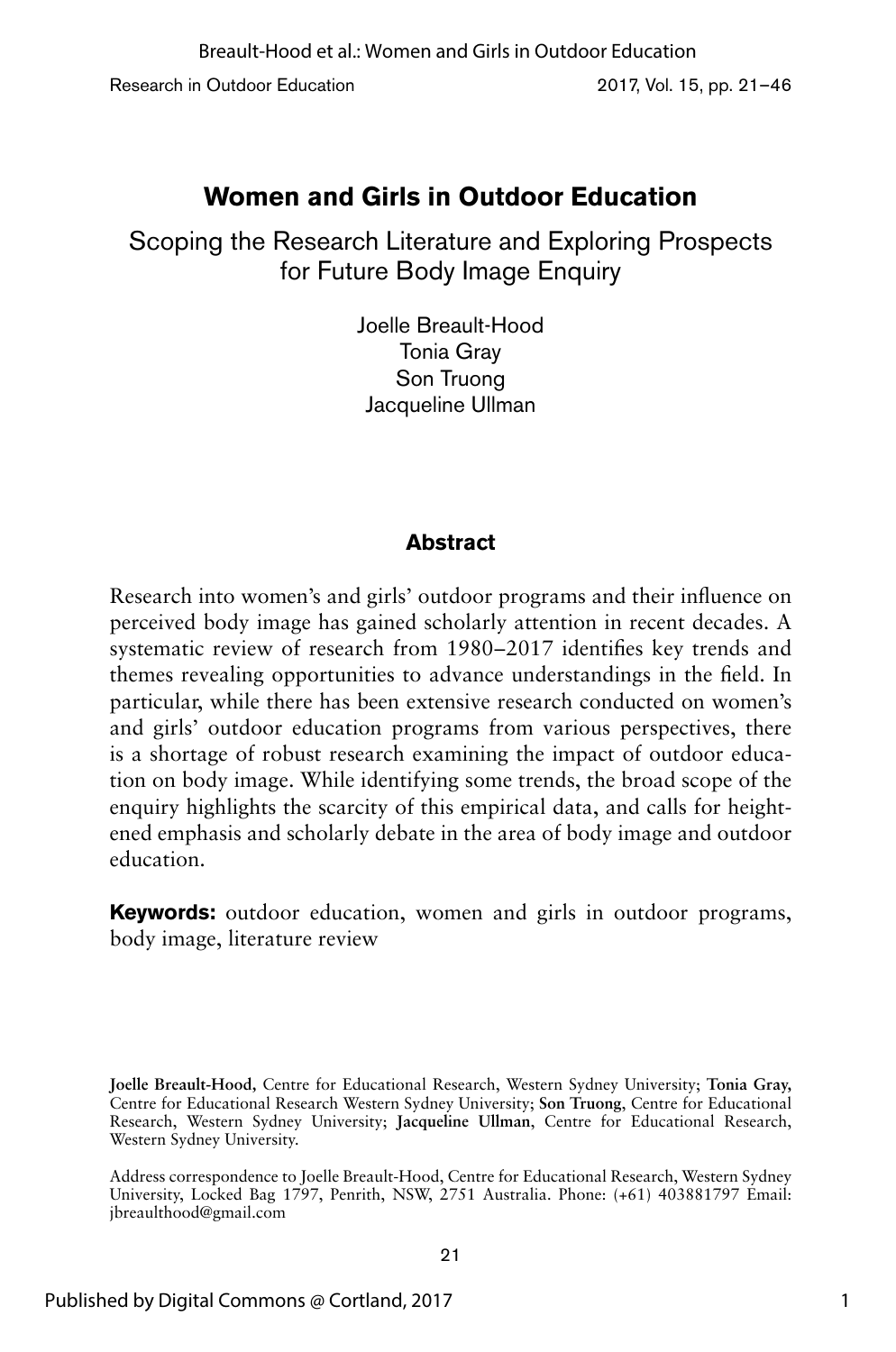Research in Outdoor Education 2017, Vol. 15, pp. 21–46

## **Women and Girls in Outdoor Education**

Scoping the Research Literature and Exploring Prospects for Future Body Image Enquiry

> Joelle Breault-Hood Tonia Gray Son Truong Jacqueline Ullman

## **Abstract**

Research into women's and girls' outdoor programs and their influence on perceived body image has gained scholarly attention in recent decades. A systematic review of research from 1980–2017 identifies key trends and themes revealing opportunities to advance understandings in the field. In particular, while there has been extensive research conducted on women's and girls' outdoor education programs from various perspectives, there is a shortage of robust research examining the impact of outdoor education on body image. While identifying some trends, the broad scope of the enquiry highlights the scarcity of this empirical data, and calls for heightened emphasis and scholarly debate in the area of body image and outdoor education.

**Keywords:** outdoor education, women and girls in outdoor programs, body image, literature review

**Joelle Breault-Hood,** Centre for Educational Research, Western Sydney University; **Tonia Gray,**  Centre for Educational Research Western Sydney University; **Son Truong**, Centre for Educational Research, Western Sydney University; **Jacqueline Ullman**, Centre for Educational Research, Western Sydney University.

Address correspondence to Joelle Breault-Hood, Centre for Educational Research, Western Sydney University, Locked Bag 1797, Penrith, NSW, 2751 Australia. Phone: (+61) 403881797 Email: jbreaulthood@gmail.com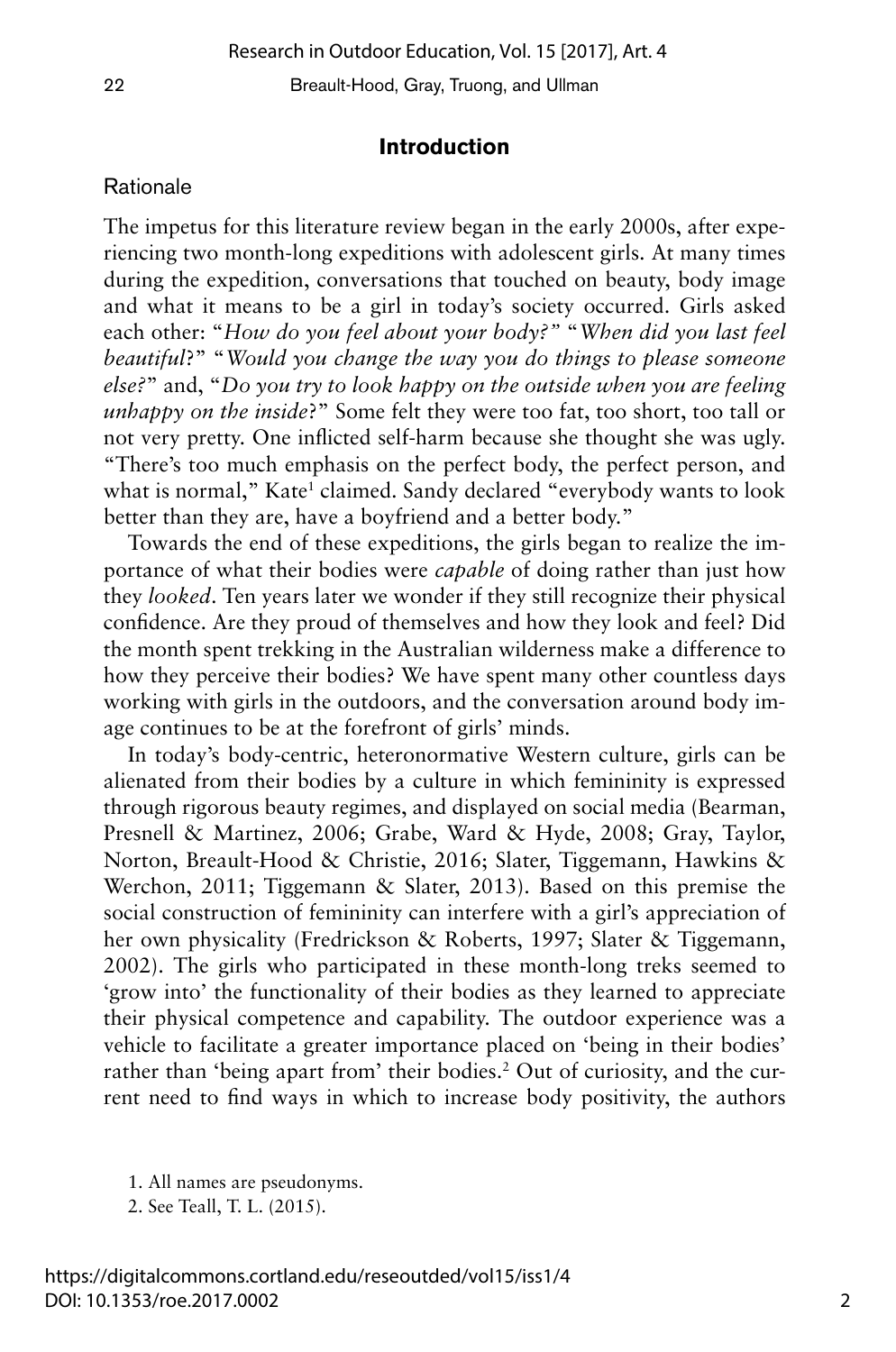#### **Introduction**

#### Rationale

The impetus for this literature review began in the early 2000s, after experiencing two month-long expeditions with adolescent girls. At many times during the expedition, conversations that touched on beauty, body image and what it means to be a girl in today's society occurred. Girls asked each other: "*How do you feel about your body?"* "*When did you last feel beautiful*?" "*Would you change the way you do things to please someone else?*" and, "*Do you try to look happy on the outside when you are feeling unhappy on the inside*?" Some felt they were too fat, too short, too tall or not very pretty. One inflicted self-harm because she thought she was ugly. "There's too much emphasis on the perfect body, the perfect person, and what is normal," Kate<sup>1</sup> claimed. Sandy declared "everybody wants to look better than they are, have a boyfriend and a better body."

Towards the end of these expeditions, the girls began to realize the importance of what their bodies were *capable* of doing rather than just how they *looked*. Ten years later we wonder if they still recognize their physical confidence. Are they proud of themselves and how they look and feel? Did the month spent trekking in the Australian wilderness make a difference to how they perceive their bodies? We have spent many other countless days working with girls in the outdoors, and the conversation around body image continues to be at the forefront of girls' minds.

In today's body-centric, heteronormative Western culture, girls can be alienated from their bodies by a culture in which femininity is expressed through rigorous beauty regimes, and displayed on social media (Bearman, Presnell & Martinez, 2006; Grabe, Ward & Hyde, 2008; Gray, Taylor, Norton, Breault-Hood & Christie, 2016; Slater, Tiggemann, Hawkins & Werchon, 2011; Tiggemann & Slater, 2013). Based on this premise the social construction of femininity can interfere with a girl's appreciation of her own physicality (Fredrickson & Roberts, 1997; Slater & Tiggemann, 2002). The girls who participated in these month-long treks seemed to 'grow into' the functionality of their bodies as they learned to appreciate their physical competence and capability. The outdoor experience was a vehicle to facilitate a greater importance placed on 'being in their bodies' rather than 'being apart from' their bodies.<sup>2</sup> Out of curiosity, and the current need to find ways in which to increase body positivity, the authors

- 1. All names are pseudonyms.
- 2. See Teall, T. L. (2015).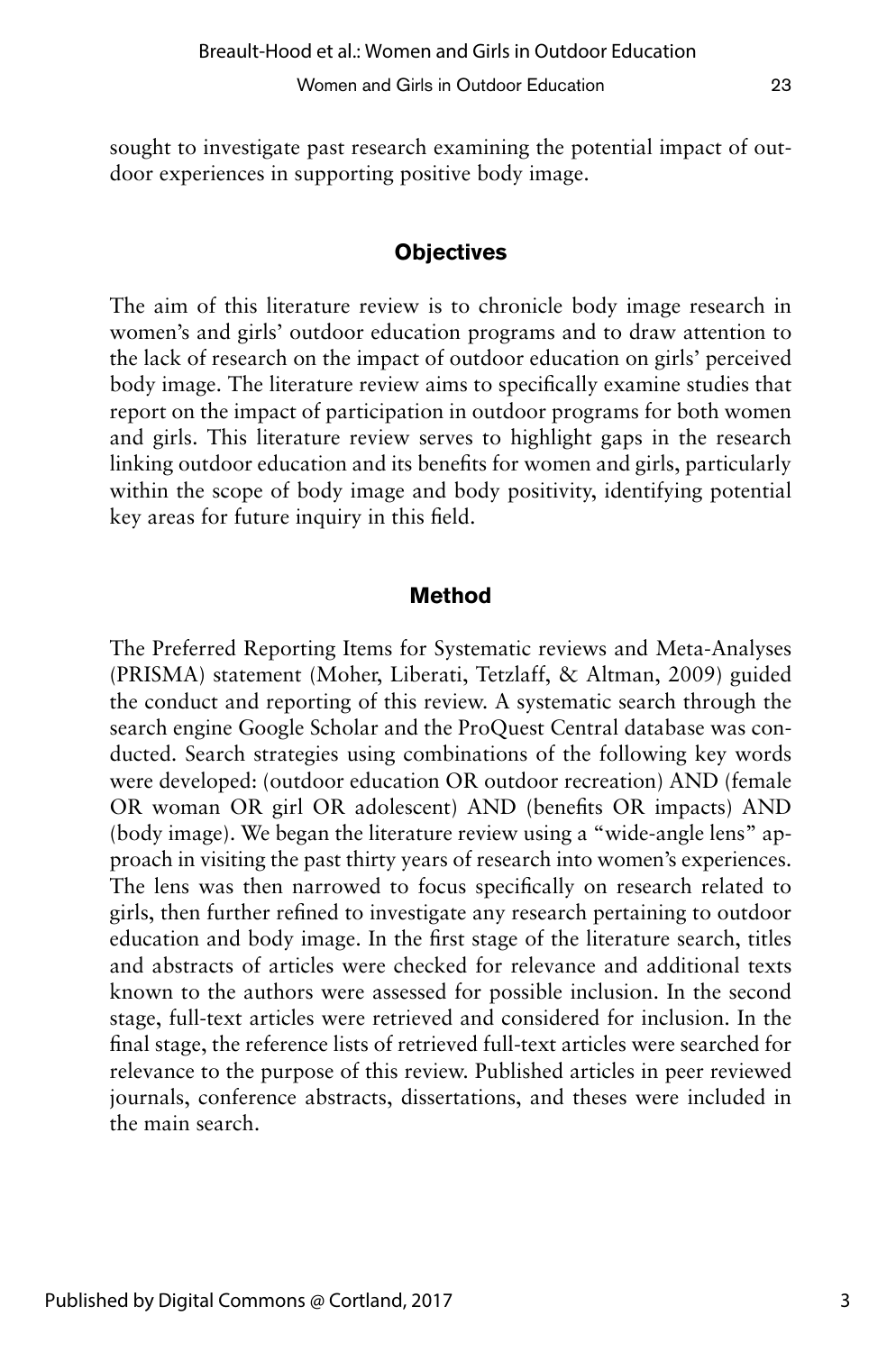sought to investigate past research examining the potential impact of outdoor experiences in supporting positive body image.

#### **Objectives**

The aim of this literature review is to chronicle body image research in women's and girls' outdoor education programs and to draw attention to the lack of research on the impact of outdoor education on girls' perceived body image. The literature review aims to specifically examine studies that report on the impact of participation in outdoor programs for both women and girls. This literature review serves to highlight gaps in the research linking outdoor education and its benefits for women and girls, particularly within the scope of body image and body positivity, identifying potential key areas for future inquiry in this field.

#### **Method**

The Preferred Reporting Items for Systematic reviews and Meta-Analyses (PRISMA) statement (Moher, Liberati, Tetzlaff, & Altman, 2009) guided the conduct and reporting of this review. A systematic search through the search engine Google Scholar and the ProQuest Central database was conducted. Search strategies using combinations of the following key words were developed: (outdoor education OR outdoor recreation) AND (female OR woman OR girl OR adolescent) AND (benefits OR impacts) AND (body image). We began the literature review using a "wide-angle lens" approach in visiting the past thirty years of research into women's experiences. The lens was then narrowed to focus specifically on research related to girls, then further refined to investigate any research pertaining to outdoor education and body image. In the first stage of the literature search, titles and abstracts of articles were checked for relevance and additional texts known to the authors were assessed for possible inclusion. In the second stage, full-text articles were retrieved and considered for inclusion. In the final stage, the reference lists of retrieved full-text articles were searched for relevance to the purpose of this review. Published articles in peer reviewed journals, conference abstracts, dissertations, and theses were included in the main search.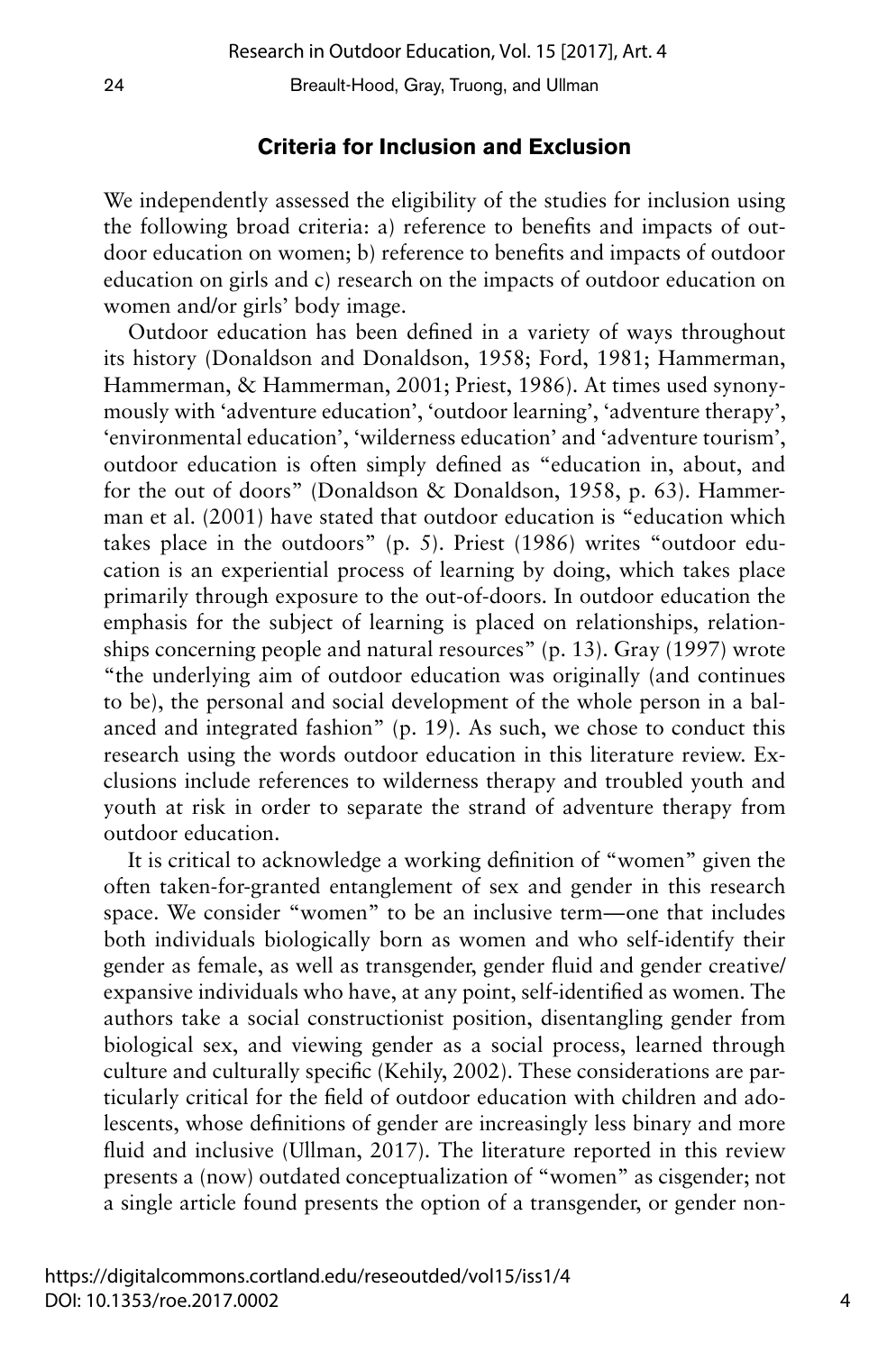#### **Criteria for Inclusion and Exclusion**

We independently assessed the eligibility of the studies for inclusion using the following broad criteria: a) reference to benefits and impacts of outdoor education on women; b) reference to benefits and impacts of outdoor education on girls and c) research on the impacts of outdoor education on women and/or girls' body image.

Outdoor education has been defined in a variety of ways throughout its history (Donaldson and Donaldson, 1958; Ford, 1981; Hammerman, Hammerman, & Hammerman, 2001; Priest, 1986). At times used synonymously with 'adventure education', 'outdoor learning', 'adventure therapy', 'environmental education', 'wilderness education' and 'adventure tourism', outdoor education is often simply defined as "education in, about, and for the out of doors" (Donaldson & Donaldson, 1958, p. 63). Hammerman et al. (2001) have stated that outdoor education is "education which takes place in the outdoors" (p. 5). Priest (1986) writes "outdoor education is an experiential process of learning by doing, which takes place primarily through exposure to the out-of-doors. In outdoor education the emphasis for the subject of learning is placed on relationships, relationships concerning people and natural resources" (p. 13). Gray (1997) wrote "the underlying aim of outdoor education was originally (and continues to be), the personal and social development of the whole person in a balanced and integrated fashion" (p. 19). As such, we chose to conduct this research using the words outdoor education in this literature review. Exclusions include references to wilderness therapy and troubled youth and youth at risk in order to separate the strand of adventure therapy from outdoor education.

It is critical to acknowledge a working definition of "women" given the often taken-for-granted entanglement of sex and gender in this research space. We consider "women" to be an inclusive term—one that includes both individuals biologically born as women and who self-identify their gender as female, as well as transgender, gender fluid and gender creative/ expansive individuals who have, at any point, self-identified as women. The authors take a social constructionist position, disentangling gender from biological sex, and viewing gender as a social process, learned through culture and culturally specific (Kehily, 2002). These considerations are particularly critical for the field of outdoor education with children and adolescents, whose definitions of gender are increasingly less binary and more fluid and inclusive (Ullman, 2017). The literature reported in this review presents a (now) outdated conceptualization of "women" as cisgender; not a single article found presents the option of a transgender, or gender non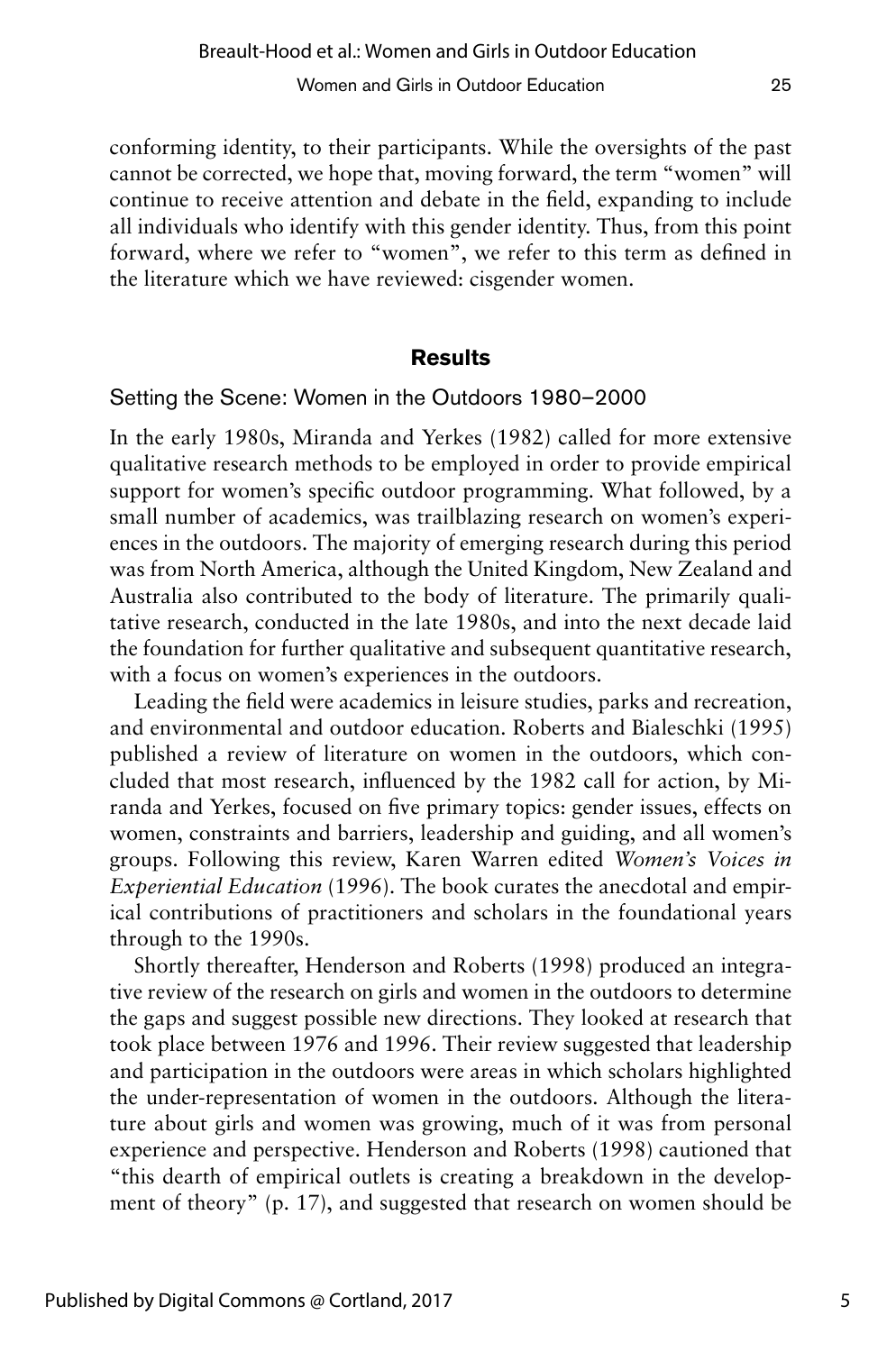conforming identity, to their participants. While the oversights of the past cannot be corrected, we hope that, moving forward, the term "women" will continue to receive attention and debate in the field, expanding to include all individuals who identify with this gender identity. Thus, from this point forward, where we refer to "women", we refer to this term as defined in the literature which we have reviewed: cisgender women.

#### **Results**

Setting the Scene: Women in the Outdoors 1980–2000

In the early 1980s, Miranda and Yerkes (1982) called for more extensive qualitative research methods to be employed in order to provide empirical support for women's specific outdoor programming. What followed, by a small number of academics, was trailblazing research on women's experiences in the outdoors. The majority of emerging research during this period was from North America, although the United Kingdom, New Zealand and Australia also contributed to the body of literature. The primarily qualitative research, conducted in the late 1980s, and into the next decade laid the foundation for further qualitative and subsequent quantitative research, with a focus on women's experiences in the outdoors.

Leading the field were academics in leisure studies, parks and recreation, and environmental and outdoor education. Roberts and Bialeschki (1995) published a review of literature on women in the outdoors, which concluded that most research, influenced by the 1982 call for action, by Miranda and Yerkes, focused on five primary topics: gender issues, effects on women, constraints and barriers, leadership and guiding, and all women's groups. Following this review, Karen Warren edited *Women's Voices in Experiential Education* (1996). The book curates the anecdotal and empirical contributions of practitioners and scholars in the foundational years through to the 1990s.

Shortly thereafter, Henderson and Roberts (1998) produced an integrative review of the research on girls and women in the outdoors to determine the gaps and suggest possible new directions. They looked at research that took place between 1976 and 1996. Their review suggested that leadership and participation in the outdoors were areas in which scholars highlighted the under-representation of women in the outdoors. Although the literature about girls and women was growing, much of it was from personal experience and perspective. Henderson and Roberts (1998) cautioned that "this dearth of empirical outlets is creating a breakdown in the development of theory" (p. 17), and suggested that research on women should be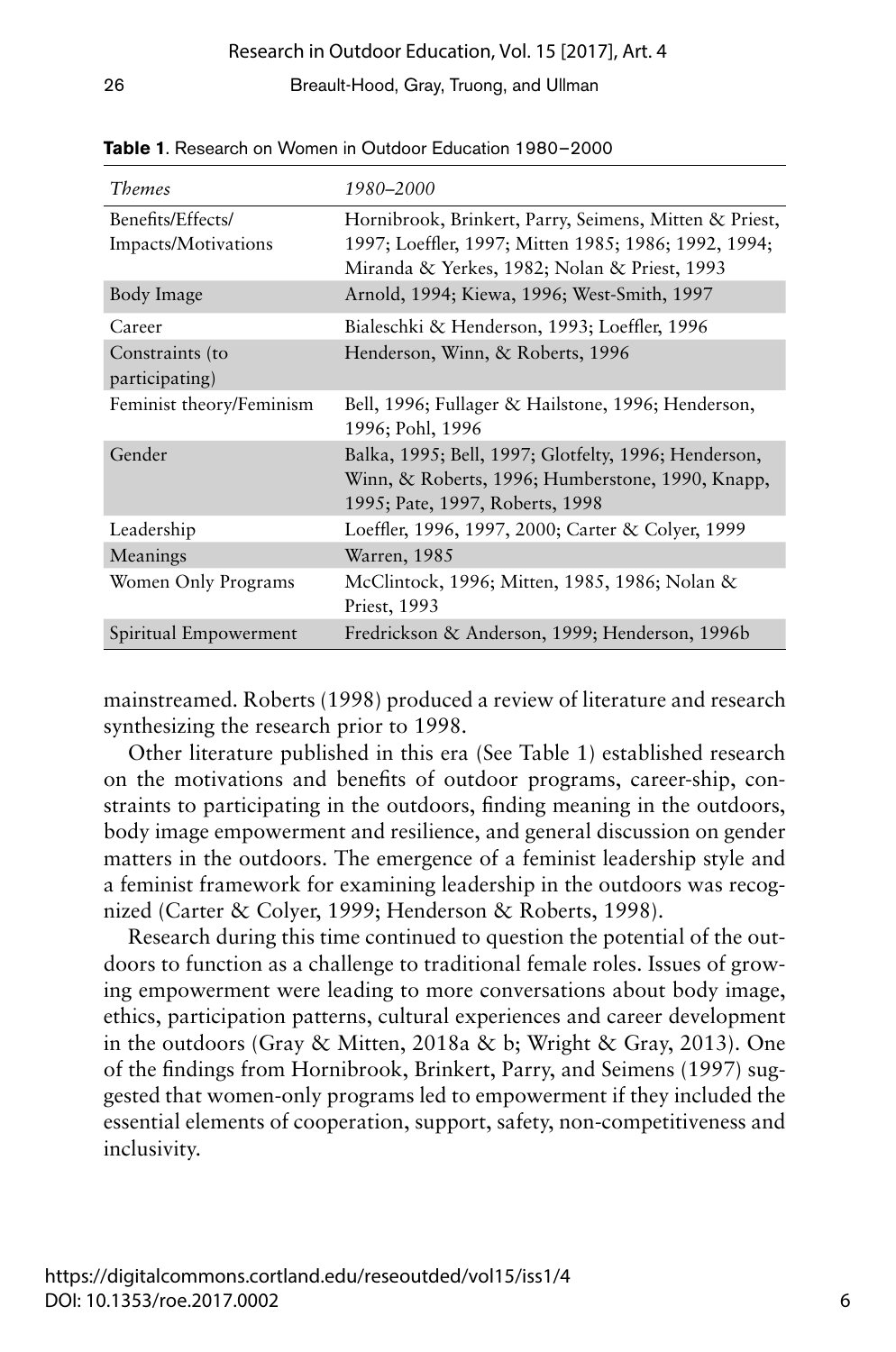| <i>Themes</i>                            | 1980–2000                                                                                                                                                      |  |
|------------------------------------------|----------------------------------------------------------------------------------------------------------------------------------------------------------------|--|
| Benefits/Effects/<br>Impacts/Motivations | Hornibrook, Brinkert, Parry, Seimens, Mitten & Priest,<br>1997; Loeffler, 1997; Mitten 1985; 1986; 1992, 1994;<br>Miranda & Yerkes, 1982; Nolan & Priest, 1993 |  |
| Body Image                               | Arnold, 1994; Kiewa, 1996; West-Smith, 1997                                                                                                                    |  |
| Career                                   | Bialeschki & Henderson, 1993; Loeffler, 1996                                                                                                                   |  |
| Constraints (to<br>participating)        | Henderson, Winn, & Roberts, 1996                                                                                                                               |  |
| Feminist theory/Feminism                 | Bell, 1996; Fullager & Hailstone, 1996; Henderson,<br>1996; Pohl, 1996                                                                                         |  |
| Gender                                   | Balka, 1995; Bell, 1997; Glotfelty, 1996; Henderson,<br>Winn, & Roberts, 1996; Humberstone, 1990, Knapp,<br>1995; Pate, 1997, Roberts, 1998                    |  |
| Leadership                               | Loeffler, 1996, 1997, 2000; Carter & Colyer, 1999                                                                                                              |  |
| Meanings                                 | Warren, 1985                                                                                                                                                   |  |
| Women Only Programs                      | McClintock, 1996; Mitten, 1985, 1986; Nolan &<br>Priest, 1993                                                                                                  |  |
| Spiritual Empowerment                    | Fredrickson & Anderson, 1999; Henderson, 1996b                                                                                                                 |  |

**Table 1**. Research on Women in Outdoor Education 1980– 2000

mainstreamed. Roberts (1998) produced a review of literature and research synthesizing the research prior to 1998.

Other literature published in this era (See Table 1) established research on the motivations and benefits of outdoor programs, career-ship, constraints to participating in the outdoors, finding meaning in the outdoors, body image empowerment and resilience, and general discussion on gender matters in the outdoors. The emergence of a feminist leadership style and a feminist framework for examining leadership in the outdoors was recognized (Carter & Colyer, 1999; Henderson & Roberts, 1998).

Research during this time continued to question the potential of the outdoors to function as a challenge to traditional female roles. Issues of growing empowerment were leading to more conversations about body image, ethics, participation patterns, cultural experiences and career development in the outdoors (Gray & Mitten, 2018a & b; Wright & Gray, 2013). One of the findings from Hornibrook, Brinkert, Parry, and Seimens (1997) suggested that women-only programs led to empowerment if they included the essential elements of cooperation, support, safety, non-competitiveness and inclusivity.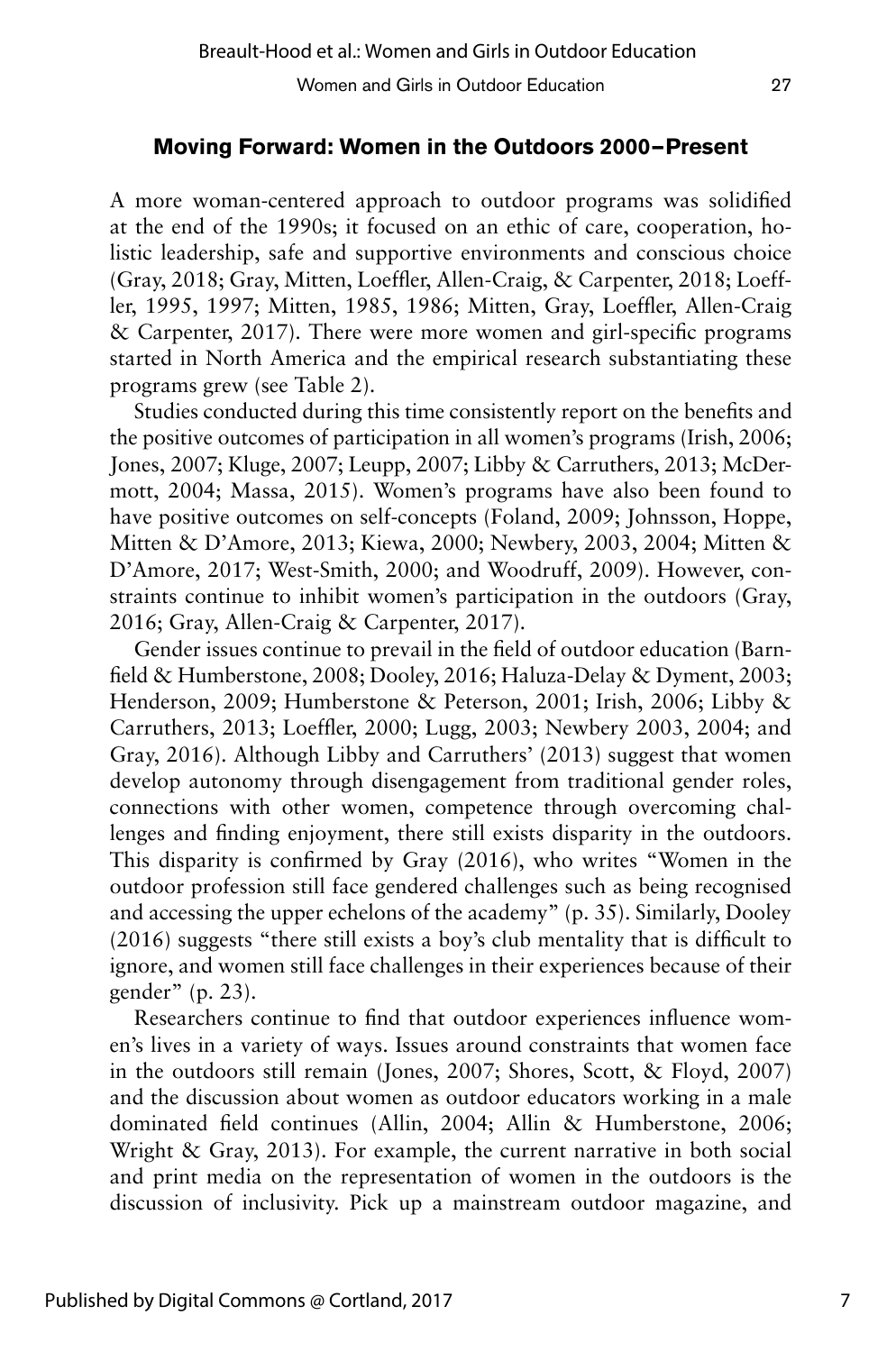#### **Moving Forward: Women in the Outdoors 2000—Present**

A more woman-centered approach to outdoor programs was solidified at the end of the 1990s; it focused on an ethic of care, cooperation, holistic leadership, safe and supportive environments and conscious choice (Gray, 2018; Gray, Mitten, Loeffler, Allen-Craig, & Carpenter, 2018; Loeffler, 1995, 1997; Mitten, 1985, 1986; Mitten, Gray, Loeffler, Allen-Craig & Carpenter, 2017). There were more women and girl-specific programs started in North America and the empirical research substantiating these programs grew (see Table 2).

Studies conducted during this time consistently report on the benefits and the positive outcomes of participation in all women's programs (Irish, 2006; Jones, 2007; Kluge, 2007; Leupp, 2007; Libby & Carruthers, 2013; McDermott, 2004; Massa, 2015). Women's programs have also been found to have positive outcomes on self-concepts (Foland, 2009; Johnsson, Hoppe, Mitten & D'Amore, 2013; Kiewa, 2000; Newbery, 2003, 2004; Mitten & D'Amore, 2017; West-Smith, 2000; and Woodruff, 2009). However, constraints continue to inhibit women's participation in the outdoors (Gray, 2016; Gray, Allen-Craig & Carpenter, 2017).

Gender issues continue to prevail in the field of outdoor education (Barnfield & Humberstone, 2008; Dooley, 2016; Haluza-Delay & Dyment, 2003; Henderson, 2009; Humberstone & Peterson, 2001; Irish, 2006; Libby & Carruthers, 2013; Loeffler, 2000; Lugg, 2003; Newbery 2003, 2004; and Gray, 2016). Although Libby and Carruthers' (2013) suggest that women develop autonomy through disengagement from traditional gender roles, connections with other women, competence through overcoming challenges and finding enjoyment, there still exists disparity in the outdoors. This disparity is confirmed by Gray (2016), who writes "Women in the outdoor profession still face gendered challenges such as being recognised and accessing the upper echelons of the academy" (p. 35). Similarly, Dooley (2016) suggests "there still exists a boy's club mentality that is difficult to ignore, and women still face challenges in their experiences because of their gender" (p. 23).

Researchers continue to find that outdoor experiences influence women's lives in a variety of ways. Issues around constraints that women face in the outdoors still remain (Jones, 2007; Shores, Scott, & Floyd, 2007) and the discussion about women as outdoor educators working in a male dominated field continues (Allin, 2004; Allin & Humberstone, 2006; Wright & Gray, 2013). For example, the current narrative in both social and print media on the representation of women in the outdoors is the discussion of inclusivity. Pick up a mainstream outdoor magazine, and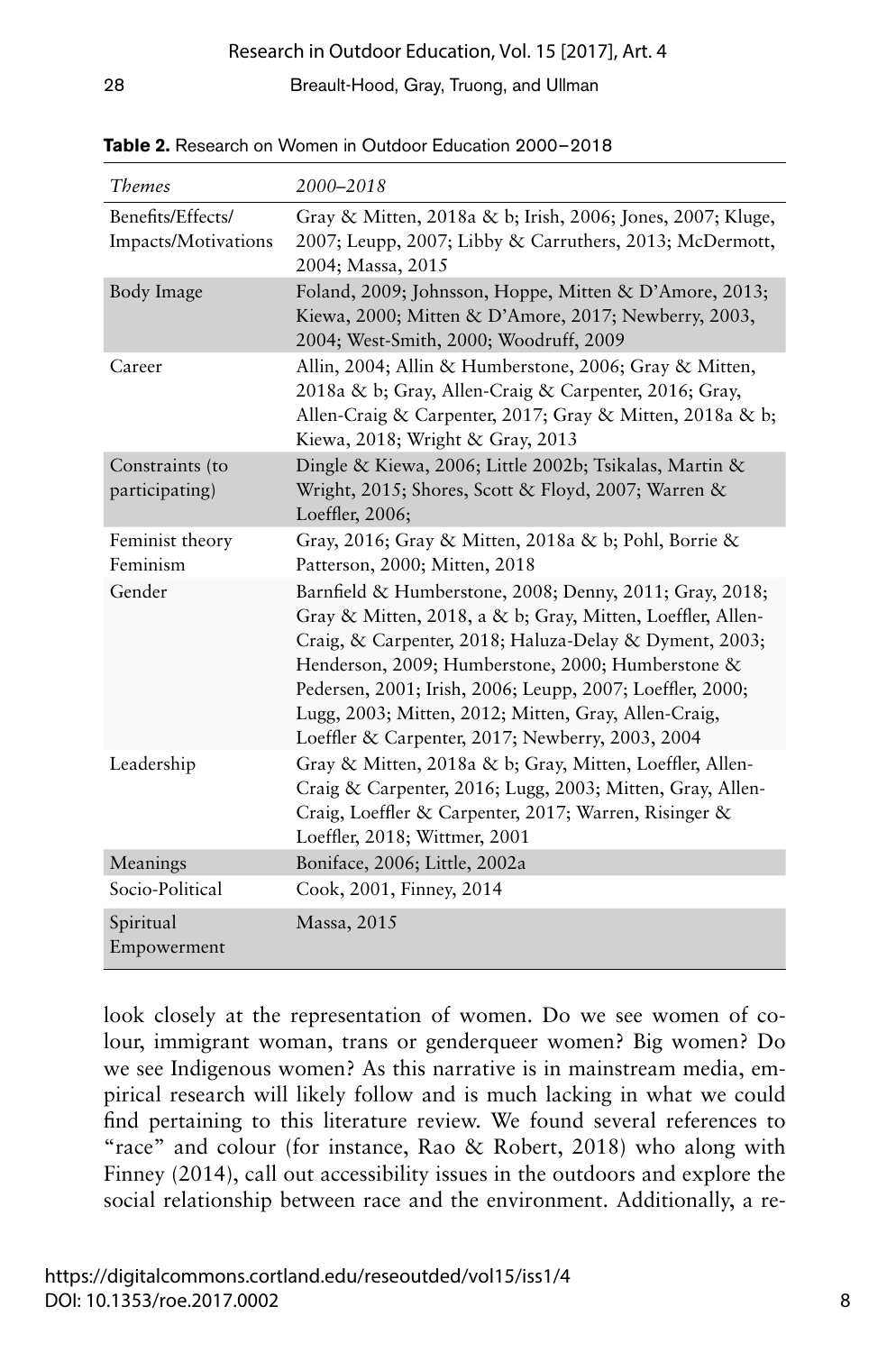| <b>Themes</b>                            | 2000-2018                                                                                                                                                                                                                                                                                                                                                                                                     |  |
|------------------------------------------|---------------------------------------------------------------------------------------------------------------------------------------------------------------------------------------------------------------------------------------------------------------------------------------------------------------------------------------------------------------------------------------------------------------|--|
| Benefits/Effects/<br>Impacts/Motivations | Gray & Mitten, 2018a & b; Irish, 2006; Jones, 2007; Kluge,<br>2007; Leupp, 2007; Libby & Carruthers, 2013; McDermott,<br>2004; Massa, 2015                                                                                                                                                                                                                                                                    |  |
| Body Image                               | Foland, 2009; Johnsson, Hoppe, Mitten & D'Amore, 2013;<br>Kiewa, 2000; Mitten & D'Amore, 2017; Newberry, 2003,<br>2004; West-Smith, 2000; Woodruff, 2009                                                                                                                                                                                                                                                      |  |
| Career                                   | Allin, 2004; Allin & Humberstone, 2006; Gray & Mitten,<br>2018a & b; Gray, Allen-Craig & Carpenter, 2016; Gray,<br>Allen-Craig & Carpenter, 2017; Gray & Mitten, 2018a & b;<br>Kiewa, 2018; Wright & Gray, 2013                                                                                                                                                                                               |  |
| Constraints (to<br>participating)        | Dingle & Kiewa, 2006; Little 2002b; Tsikalas, Martin &<br>Wright, 2015; Shores, Scott & Floyd, 2007; Warren &<br>Loeffler, 2006;                                                                                                                                                                                                                                                                              |  |
| Feminist theory<br>Feminism              | Gray, 2016; Gray & Mitten, 2018a & b; Pohl, Borrie &<br>Patterson, 2000; Mitten, 2018                                                                                                                                                                                                                                                                                                                         |  |
| Gender                                   | Barnfield & Humberstone, 2008; Denny, 2011; Gray, 2018;<br>Gray & Mitten, 2018, a & b; Gray, Mitten, Loeffler, Allen-<br>Craig, & Carpenter, 2018; Haluza-Delay & Dyment, 2003;<br>Henderson, 2009; Humberstone, 2000; Humberstone &<br>Pedersen, 2001; Irish, 2006; Leupp, 2007; Loeffler, 2000;<br>Lugg, 2003; Mitten, 2012; Mitten, Gray, Allen-Craig,<br>Loeffler & Carpenter, 2017; Newberry, 2003, 2004 |  |
| Leadership                               | Gray & Mitten, 2018a & b; Gray, Mitten, Loeffler, Allen-<br>Craig & Carpenter, 2016; Lugg, 2003; Mitten, Gray, Allen-<br>Craig, Loeffler & Carpenter, 2017; Warren, Risinger &<br>Loeffler, 2018; Wittmer, 2001                                                                                                                                                                                               |  |
| Meanings                                 | Boniface, 2006; Little, 2002a                                                                                                                                                                                                                                                                                                                                                                                 |  |
| Socio-Political                          | Cook, 2001, Finney, 2014                                                                                                                                                                                                                                                                                                                                                                                      |  |
| Spiritual<br>Empowerment                 | Massa, 2015                                                                                                                                                                                                                                                                                                                                                                                                   |  |

**Table 2.** Research on Women in Outdoor Education 2000– 2018

look closely at the representation of women. Do we see women of colour, immigrant woman, trans or genderqueer women? Big women? Do we see Indigenous women? As this narrative is in mainstream media, empirical research will likely follow and is much lacking in what we could find pertaining to this literature review. We found several references to "race" and colour (for instance, Rao & Robert, 2018) who along with Finney (2014), call out accessibility issues in the outdoors and explore the social relationship between race and the environment. Additionally, a re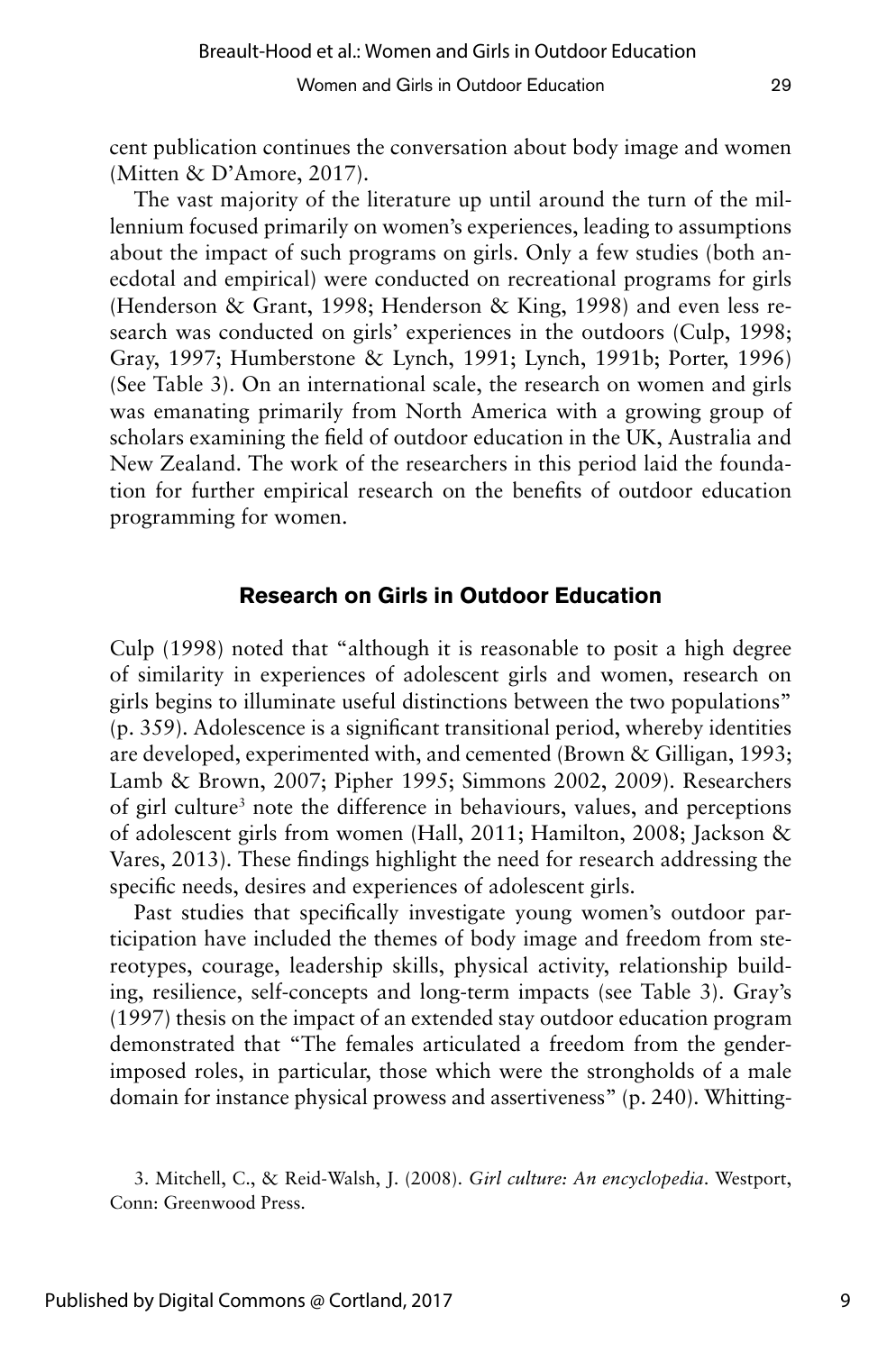cent publication continues the conversation about body image and women (Mitten & D'Amore, 2017).

The vast majority of the literature up until around the turn of the millennium focused primarily on women's experiences, leading to assumptions about the impact of such programs on girls. Only a few studies (both anecdotal and empirical) were conducted on recreational programs for girls (Henderson & Grant, 1998; Henderson & King, 1998) and even less research was conducted on girls' experiences in the outdoors (Culp, 1998; Gray, 1997; Humberstone & Lynch, 1991; Lynch, 1991b; Porter, 1996) (See Table 3). On an international scale, the research on women and girls was emanating primarily from North America with a growing group of scholars examining the field of outdoor education in the UK, Australia and New Zealand. The work of the researchers in this period laid the foundation for further empirical research on the benefits of outdoor education programming for women.

#### **Research on Girls in Outdoor Education**

Culp (1998) noted that "although it is reasonable to posit a high degree of similarity in experiences of adolescent girls and women, research on girls begins to illuminate useful distinctions between the two populations" (p. 359). Adolescence is a significant transitional period, whereby identities are developed, experimented with, and cemented (Brown & Gilligan, 1993; Lamb & Brown, 2007; Pipher 1995; Simmons 2002, 2009). Researchers of girl culture<sup>3</sup> note the difference in behaviours, values, and perceptions of adolescent girls from women (Hall, 2011; Hamilton, 2008; Jackson & Vares, 2013). These findings highlight the need for research addressing the specific needs, desires and experiences of adolescent girls.

Past studies that specifically investigate young women's outdoor participation have included the themes of body image and freedom from stereotypes, courage, leadership skills, physical activity, relationship building, resilience, self-concepts and long-term impacts (see Table 3). Gray's (1997) thesis on the impact of an extended stay outdoor education program demonstrated that "The females articulated a freedom from the genderimposed roles, in particular, those which were the strongholds of a male domain for instance physical prowess and assertiveness" (p. 240). Whitting-

<sup>3.</sup> Mitchell, C., & Reid-Walsh, J. (2008). *Girl culture: An encyclopedia*. Westport, Conn: Greenwood Press.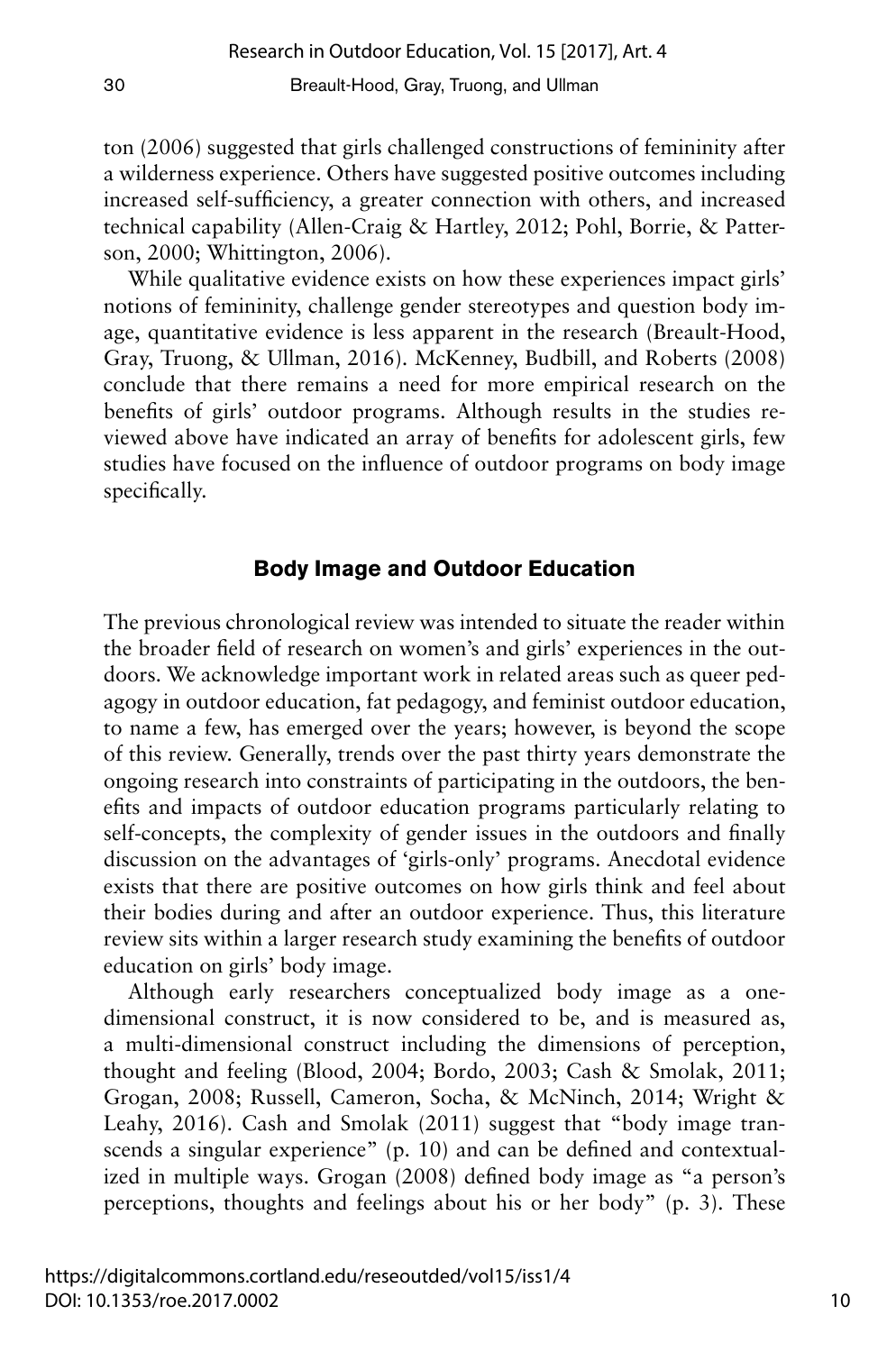ton (2006) suggested that girls challenged constructions of femininity after a wilderness experience. Others have suggested positive outcomes including increased self-sufficiency, a greater connection with others, and increased technical capability (Allen-Craig & Hartley, 2012; Pohl, Borrie, & Patterson, 2000; Whittington, 2006).

While qualitative evidence exists on how these experiences impact girls' notions of femininity, challenge gender stereotypes and question body image, quantitative evidence is less apparent in the research (Breault-Hood, Gray, Truong, & Ullman, 2016). McKenney, Budbill, and Roberts (2008) conclude that there remains a need for more empirical research on the benefits of girls' outdoor programs. Although results in the studies reviewed above have indicated an array of benefits for adolescent girls, few studies have focused on the influence of outdoor programs on body image specifically.

#### **Body Image and Outdoor Education**

The previous chronological review was intended to situate the reader within the broader field of research on women's and girls' experiences in the outdoors. We acknowledge important work in related areas such as queer pedagogy in outdoor education, fat pedagogy, and feminist outdoor education, to name a few, has emerged over the years; however, is beyond the scope of this review. Generally, trends over the past thirty years demonstrate the ongoing research into constraints of participating in the outdoors, the benefits and impacts of outdoor education programs particularly relating to self-concepts, the complexity of gender issues in the outdoors and finally discussion on the advantages of 'girls-only' programs. Anecdotal evidence exists that there are positive outcomes on how girls think and feel about their bodies during and after an outdoor experience. Thus, this literature review sits within a larger research study examining the benefits of outdoor education on girls' body image.

Although early researchers conceptualized body image as a onedimensional construct, it is now considered to be, and is measured as, a multi-dimensional construct including the dimensions of perception, thought and feeling (Blood, 2004; Bordo, 2003; Cash & Smolak, 2011; Grogan, 2008; Russell, Cameron, Socha, & McNinch, 2014; Wright & Leahy, 2016). Cash and Smolak (2011) suggest that "body image transcends a singular experience" (p. 10) and can be defined and contextualized in multiple ways. Grogan (2008) defined body image as "a person's perceptions, thoughts and feelings about his or her body" (p. 3). These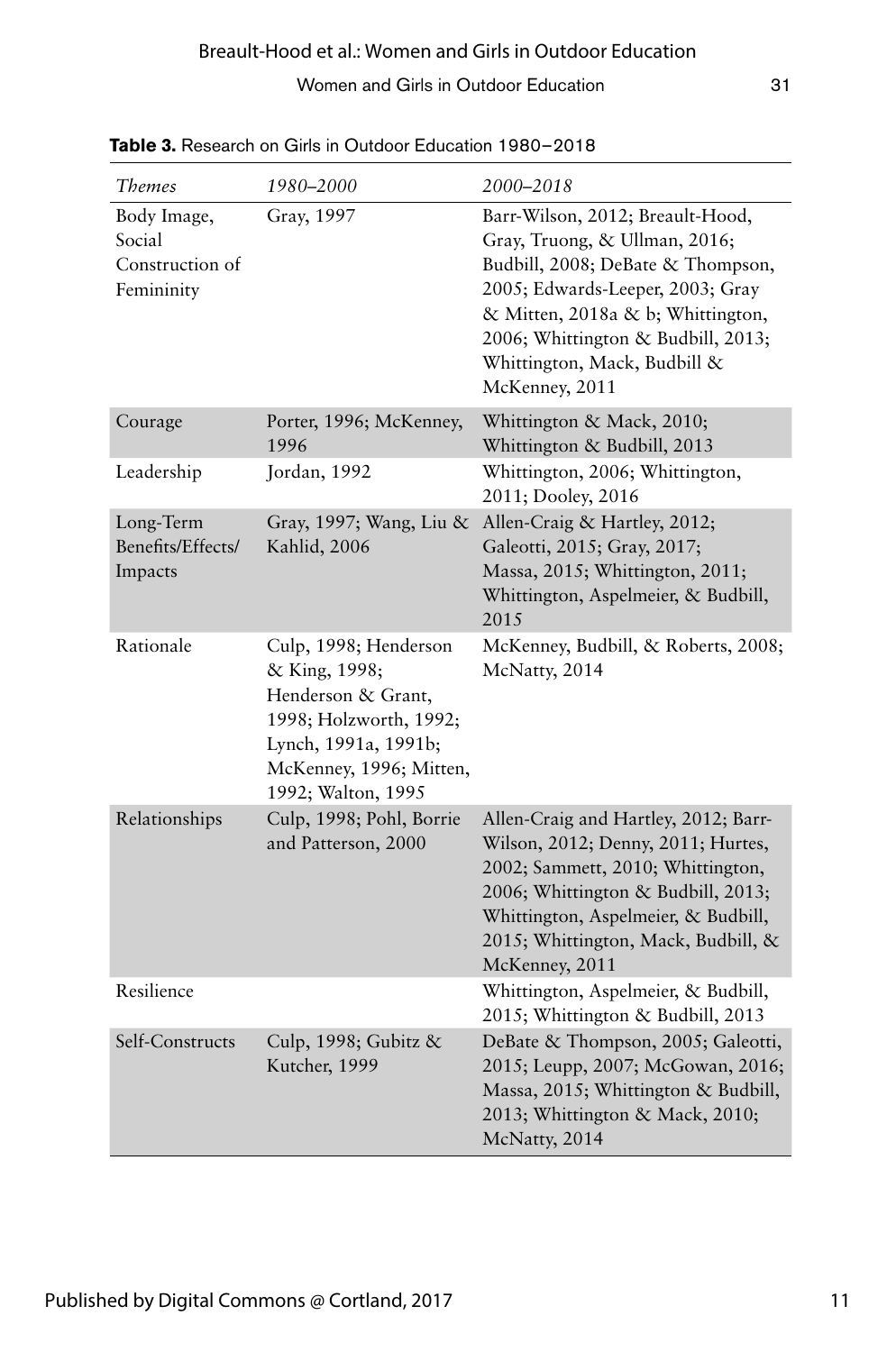### Women and Girls in Outdoor Education 31

| <b>Themes</b>                                          | 1980–2000                                                                                                                                                       | 2000–2018                                                                                                                                                                                                                                                               |
|--------------------------------------------------------|-----------------------------------------------------------------------------------------------------------------------------------------------------------------|-------------------------------------------------------------------------------------------------------------------------------------------------------------------------------------------------------------------------------------------------------------------------|
| Body Image,<br>Social<br>Construction of<br>Femininity | Gray, 1997                                                                                                                                                      | Barr-Wilson, 2012; Breault-Hood,<br>Gray, Truong, & Ullman, 2016;<br>Budbill, 2008; DeBate & Thompson,<br>2005; Edwards-Leeper, 2003; Gray<br>& Mitten, 2018a & b; Whittington,<br>2006; Whittington & Budbill, 2013;<br>Whittington, Mack, Budbill &<br>McKenney, 2011 |
| Courage                                                | Porter, 1996; McKenney,<br>1996                                                                                                                                 | Whittington & Mack, 2010;<br>Whittington & Budbill, 2013                                                                                                                                                                                                                |
| Leadership                                             | Jordan, 1992                                                                                                                                                    | Whittington, 2006; Whittington,<br>2011; Dooley, 2016                                                                                                                                                                                                                   |
| Long-Term<br>Benefits/Effects/<br>Impacts              | Gray, 1997; Wang, Liu &<br>Kahlid, 2006                                                                                                                         | Allen-Craig & Hartley, 2012;<br>Galeotti, 2015; Gray, 2017;<br>Massa, 2015; Whittington, 2011;<br>Whittington, Aspelmeier, & Budbill,<br>2015                                                                                                                           |
| Rationale                                              | Culp, 1998; Henderson<br>& King, 1998;<br>Henderson & Grant,<br>1998; Holzworth, 1992;<br>Lynch, 1991a, 1991b;<br>McKenney, 1996; Mitten,<br>1992; Walton, 1995 | McKenney, Budbill, & Roberts, 2008;<br>McNatty, 2014                                                                                                                                                                                                                    |
| Relationships                                          | Culp, 1998; Pohl, Borrie<br>and Patterson, 2000                                                                                                                 | Allen-Craig and Hartley, 2012; Barr-<br>Wilson, 2012; Denny, 2011; Hurtes,<br>2002; Sammett, 2010; Whittington,<br>2006; Whittington & Budbill, 2013;<br>Whittington, Aspelmeier, & Budbill,<br>2015; Whittington, Mack, Budbill, &<br>McKenney, 2011                   |
| Resilience                                             |                                                                                                                                                                 | Whittington, Aspelmeier, & Budbill,<br>2015; Whittington & Budbill, 2013                                                                                                                                                                                                |
| Self-Constructs                                        | Culp, 1998; Gubitz &<br>Kutcher, 1999                                                                                                                           | DeBate & Thompson, 2005; Galeotti,<br>2015; Leupp, 2007; McGowan, 2016;<br>Massa, 2015; Whittington & Budbill,<br>2013; Whittington & Mack, 2010;<br>McNatty, 2014                                                                                                      |

Table 3. Research on Girls in Outdoor Education 1980-2018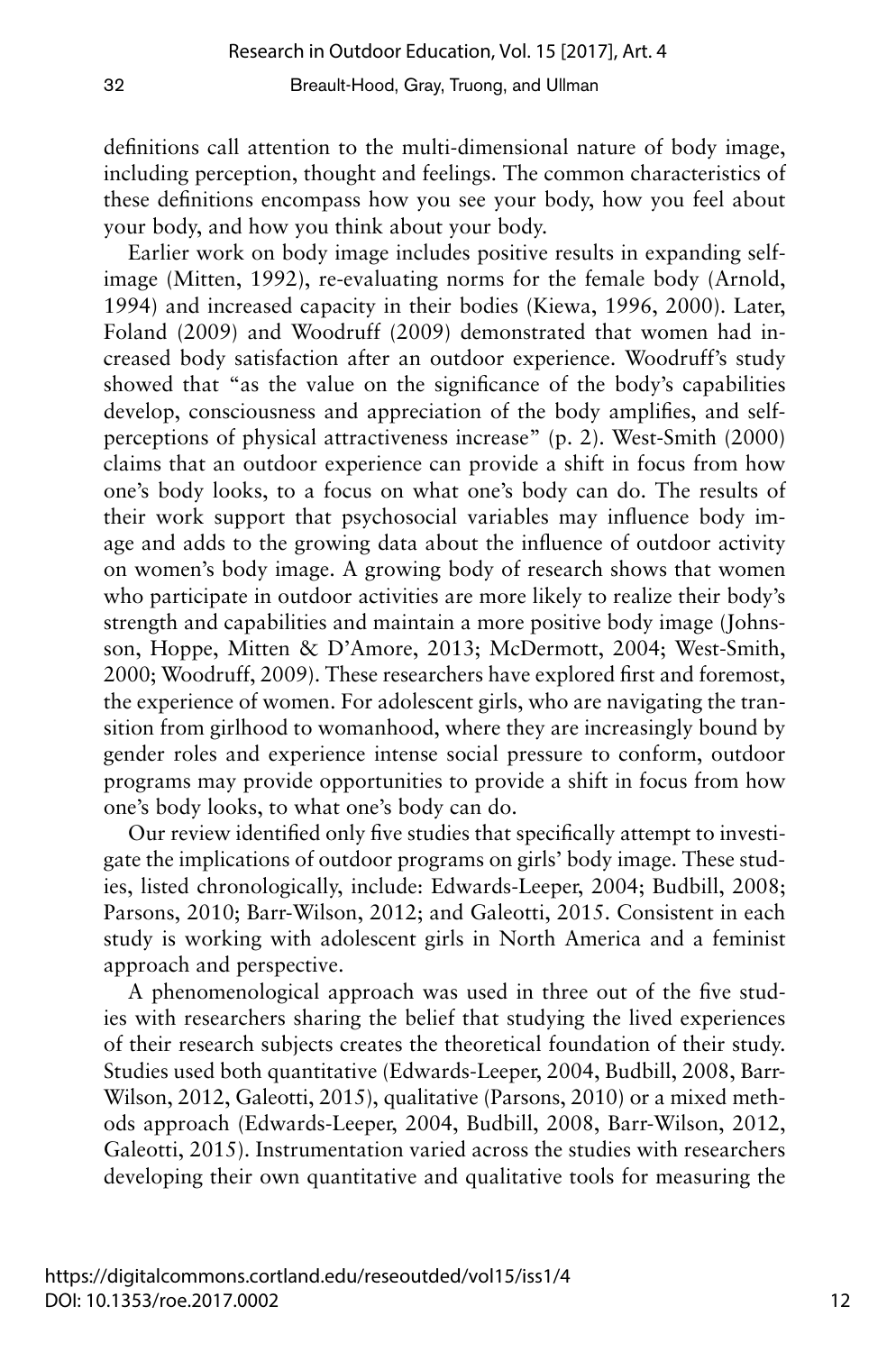definitions call attention to the multi-dimensional nature of body image, including perception, thought and feelings. The common characteristics of these definitions encompass how you see your body, how you feel about your body, and how you think about your body.

Earlier work on body image includes positive results in expanding selfimage (Mitten, 1992), re-evaluating norms for the female body (Arnold, 1994) and increased capacity in their bodies (Kiewa, 1996, 2000). Later, Foland (2009) and Woodruff (2009) demonstrated that women had increased body satisfaction after an outdoor experience. Woodruff's study showed that "as the value on the significance of the body's capabilities develop, consciousness and appreciation of the body amplifies, and selfperceptions of physical attractiveness increase" (p. 2). West-Smith (2000) claims that an outdoor experience can provide a shift in focus from how one's body looks, to a focus on what one's body can do. The results of their work support that psychosocial variables may influence body image and adds to the growing data about the influence of outdoor activity on women's body image. A growing body of research shows that women who participate in outdoor activities are more likely to realize their body's strength and capabilities and maintain a more positive body image (Johnsson, Hoppe, Mitten & D'Amore, 2013; McDermott, 2004; West-Smith, 2000; Woodruff, 2009). These researchers have explored first and foremost, the experience of women. For adolescent girls, who are navigating the transition from girlhood to womanhood, where they are increasingly bound by gender roles and experience intense social pressure to conform, outdoor programs may provide opportunities to provide a shift in focus from how one's body looks, to what one's body can do.

Our review identified only five studies that specifically attempt to investigate the implications of outdoor programs on girls' body image. These studies, listed chronologically, include: Edwards-Leeper, 2004; Budbill, 2008; Parsons, 2010; Barr-Wilson, 2012; and Galeotti, 2015. Consistent in each study is working with adolescent girls in North America and a feminist approach and perspective.

A phenomenological approach was used in three out of the five studies with researchers sharing the belief that studying the lived experiences of their research subjects creates the theoretical foundation of their study. Studies used both quantitative (Edwards-Leeper, 2004, Budbill, 2008, Barr-Wilson, 2012, Galeotti, 2015), qualitative (Parsons, 2010) or a mixed methods approach (Edwards-Leeper, 2004, Budbill, 2008, Barr-Wilson, 2012, Galeotti, 2015). Instrumentation varied across the studies with researchers developing their own quantitative and qualitative tools for measuring the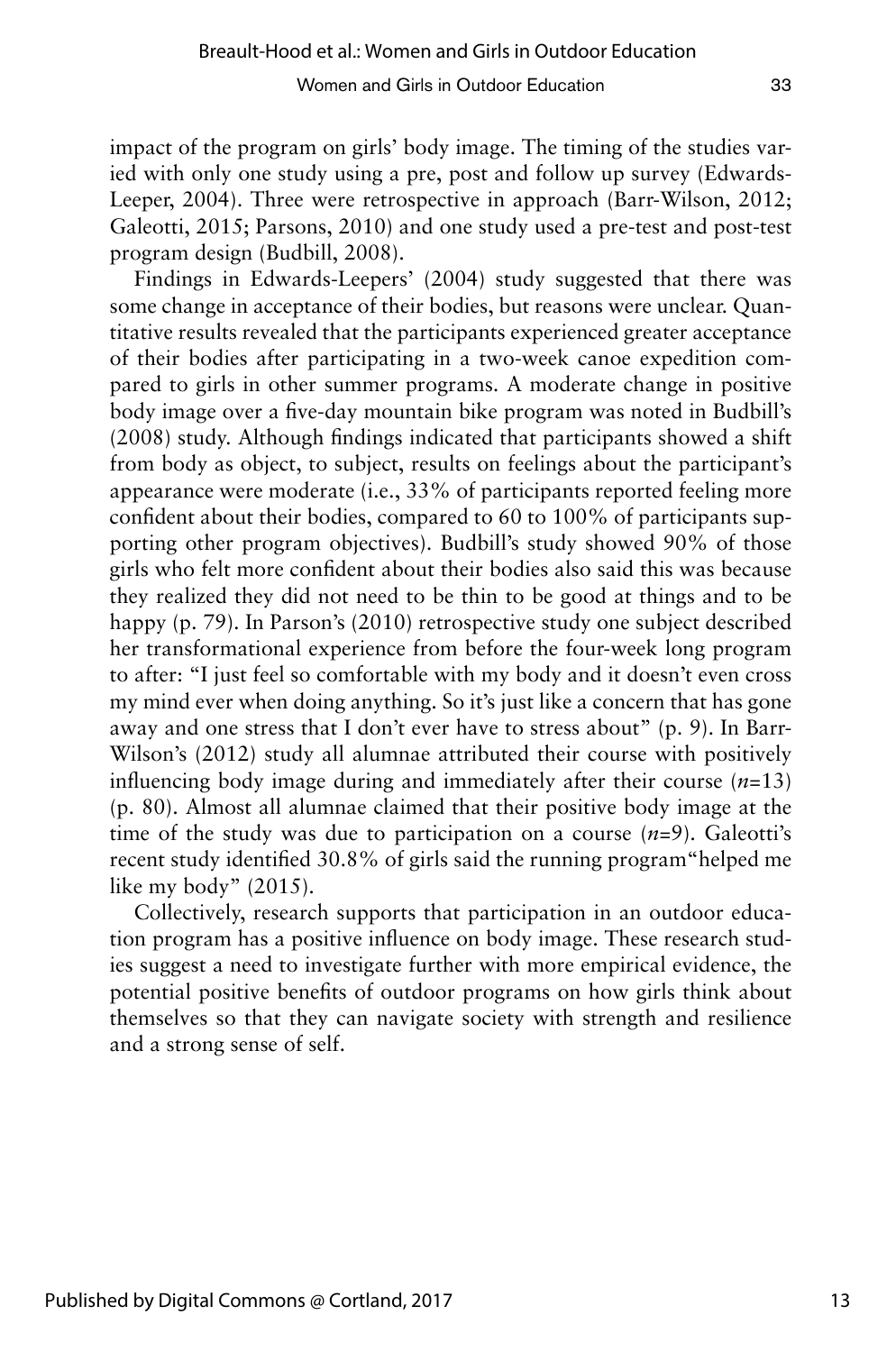impact of the program on girls' body image. The timing of the studies varied with only one study using a pre, post and follow up survey (Edwards-Leeper, 2004). Three were retrospective in approach (Barr-Wilson, 2012; Galeotti, 2015; Parsons, 2010) and one study used a pre-test and post-test program design (Budbill, 2008).

Findings in Edwards-Leepers' (2004) study suggested that there was some change in acceptance of their bodies, but reasons were unclear. Quantitative results revealed that the participants experienced greater acceptance of their bodies after participating in a two-week canoe expedition compared to girls in other summer programs. A moderate change in positive body image over a five-day mountain bike program was noted in Budbill's (2008) study. Although findings indicated that participants showed a shift from body as object, to subject, results on feelings about the participant's appearance were moderate (i.e., 33% of participants reported feeling more confident about their bodies, compared to 60 to 100% of participants supporting other program objectives). Budbill's study showed 90% of those girls who felt more confident about their bodies also said this was because they realized they did not need to be thin to be good at things and to be happy (p. 79). In Parson's (2010) retrospective study one subject described her transformational experience from before the four-week long program to after: "I just feel so comfortable with my body and it doesn't even cross my mind ever when doing anything. So it's just like a concern that has gone away and one stress that I don't ever have to stress about" (p. 9). In Barr-Wilson's (2012) study all alumnae attributed their course with positively influencing body image during and immediately after their course (*n*=13) (p. 80). Almost all alumnae claimed that their positive body image at the time of the study was due to participation on a course (*n*=9). Galeotti's recent study identified 30.8% of girls said the running program"helped me like my body" (2015).

Collectively, research supports that participation in an outdoor education program has a positive influence on body image. These research studies suggest a need to investigate further with more empirical evidence, the potential positive benefits of outdoor programs on how girls think about themselves so that they can navigate society with strength and resilience and a strong sense of self.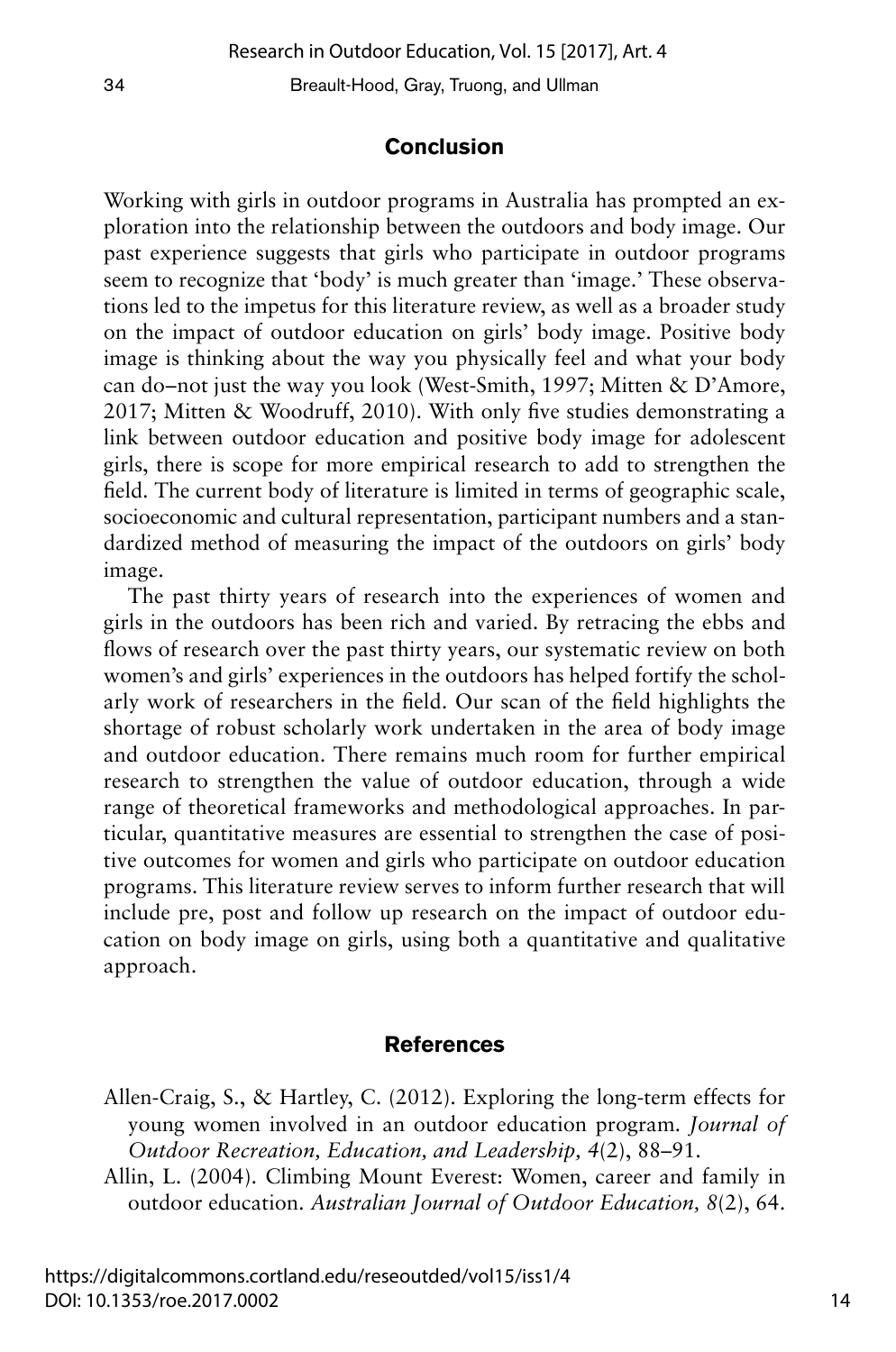#### **Conclusion**

Working with girls in outdoor programs in Australia has prompted an exploration into the relationship between the outdoors and body image. Our past experience suggests that girls who participate in outdoor programs seem to recognize that 'body' is much greater than 'image.' These observations led to the impetus for this literature review, as well as a broader study on the impact of outdoor education on girls' body image. Positive body image is thinking about the way you physically feel and what your body can do–not just the way you look (West-Smith, 1997; Mitten & D'Amore, 2017; Mitten & Woodruff, 2010). With only five studies demonstrating a link between outdoor education and positive body image for adolescent girls, there is scope for more empirical research to add to strengthen the field. The current body of literature is limited in terms of geographic scale, socioeconomic and cultural representation, participant numbers and a standardized method of measuring the impact of the outdoors on girls' body image.

The past thirty years of research into the experiences of women and girls in the outdoors has been rich and varied. By retracing the ebbs and flows of research over the past thirty years, our systematic review on both women's and girls' experiences in the outdoors has helped fortify the scholarly work of researchers in the field. Our scan of the field highlights the shortage of robust scholarly work undertaken in the area of body image and outdoor education. There remains much room for further empirical research to strengthen the value of outdoor education, through a wide range of theoretical frameworks and methodological approaches. In particular, quantitative measures are essential to strengthen the case of positive outcomes for women and girls who participate on outdoor education programs. This literature review serves to inform further research that will include pre, post and follow up research on the impact of outdoor education on body image on girls, using both a quantitative and qualitative approach.

#### **References**

- Allen-Craig, S., & Hartley, C. (2012). Exploring the long-term effects for young women involved in an outdoor education program. *Journal of Outdoor Recreation, Education, and Leadership, 4*(2), 88–91.
- Allin, L. (2004). Climbing Mount Everest: Women, career and family in outdoor education. *Australian Journal of Outdoor Education, 8*(2), 64.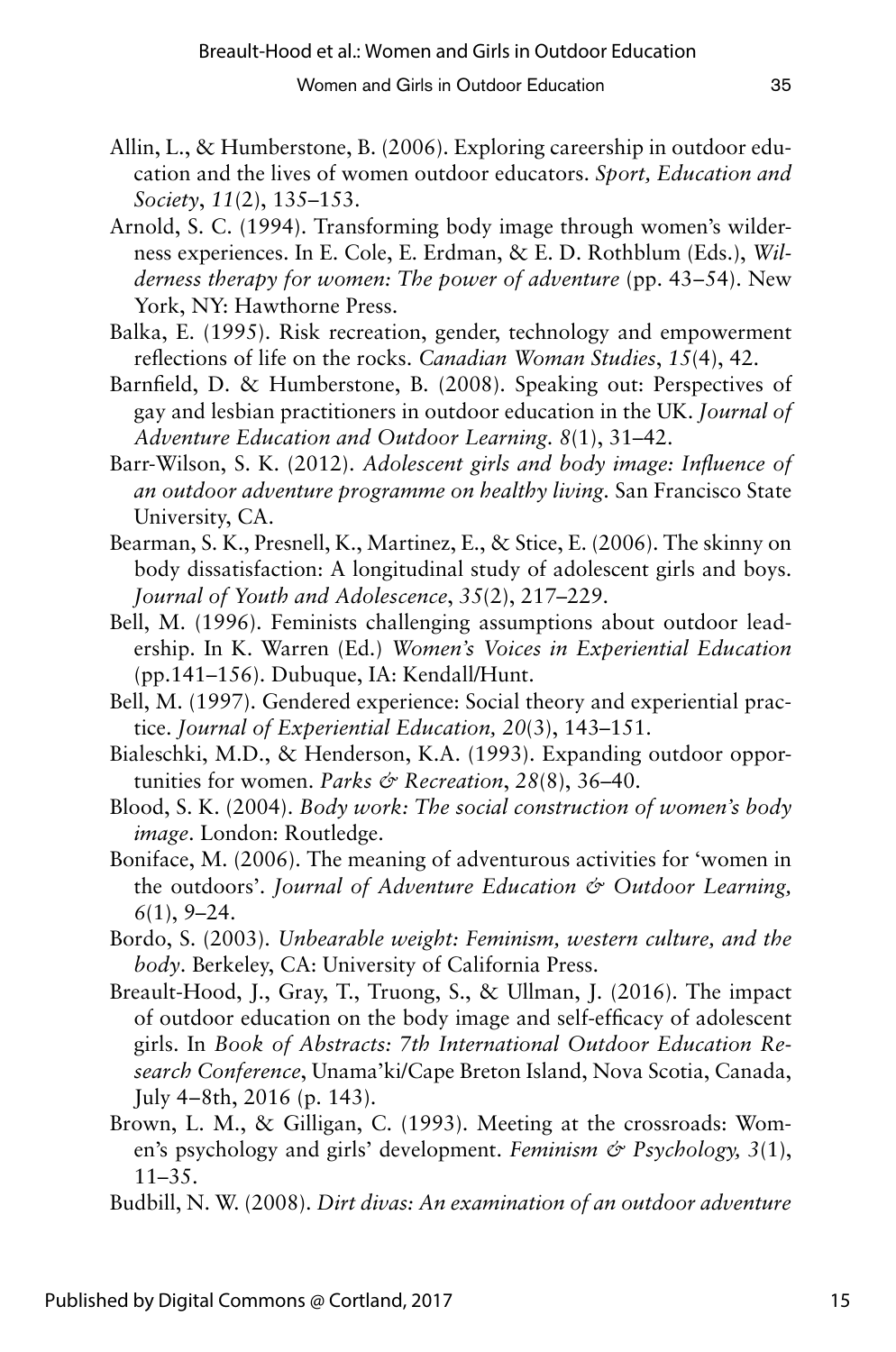- Allin, L., & Humberstone, B. (2006). Exploring careership in outdoor education and the lives of women outdoor educators. *Sport, Education and Society*, *11*(2), 135–153.
- Arnold, S. C. (1994). Transforming body image through women's wilderness experiences. In E. Cole, E. Erdman, & E. D. Rothblum (Eds.), *Wilderness therapy for women: The power of adventure (pp. 43–54). New* York, NY: Hawthorne Press.
- Balka, E. (1995). Risk recreation, gender, technology and empowerment reflections of life on the rocks. *Canadian Woman Studies*, *15*(4), 42.
- Barnfield, D. & Humberstone, B. (2008). Speaking out: Perspectives of gay and lesbian practitioners in outdoor education in the UK. *Journal of Adventure Education and Outdoor Learning. 8*(1), 31–42.
- Barr-Wilson, S. K. (2012). *Adolescent girls and body image: Influence of an outdoor adventure programme on healthy living.* San Francisco State University, CA.
- Bearman, S. K., Presnell, K., Martinez, E., & Stice, E. (2006). The skinny on body dissatisfaction: A longitudinal study of adolescent girls and boys. *Journal of Youth and Adolescence*, *35*(2), 217–229.
- Bell, M. (1996). Feminists challenging assumptions about outdoor leadership. In K. Warren (Ed.) *Women's Voices in Experiential Education*  (pp.141–156). Dubuque, IA: Kendall/Hunt.
- Bell, M. (1997). Gendered experience: Social theory and experiential practice. *Journal of Experiential Education, 20*(3), 143–151.
- Bialeschki, M.D., & Henderson, K.A. (1993). Expanding outdoor opportunities for women. *Parks & Recreation*, *28*(8), 36–40.
- Blood, S. K. (2004). *Body work: The social construction of women's body image*. London: Routledge.
- Boniface, M. (2006). The meaning of adventurous activities for 'women in the outdoors'. *Journal of Adventure Education & Outdoor Learning, 6*(1), 9–24.
- Bordo, S. (2003). *Unbearable weight: Feminism, western culture, and the body*. Berkeley, CA: University of California Press.
- Breault-Hood, J., Gray, T., Truong, S., & Ullman, J. (2016). The impact of outdoor education on the body image and self-efficacy of adolescent girls. In *Book of Abstracts: 7th International Outdoor Education Research Conference*, Unama'ki/Cape Breton Island, Nova Scotia, Canada, July  $4-8$ th,  $2016$  (p. 143).
- Brown, L. M., & Gilligan, C. (1993). Meeting at the crossroads: Women's psychology and girls' development. *Feminism & Psychology, 3*(1), 11–35.
- Budbill, N. W. (2008). *Dirt divas: An examination of an outdoor adventure*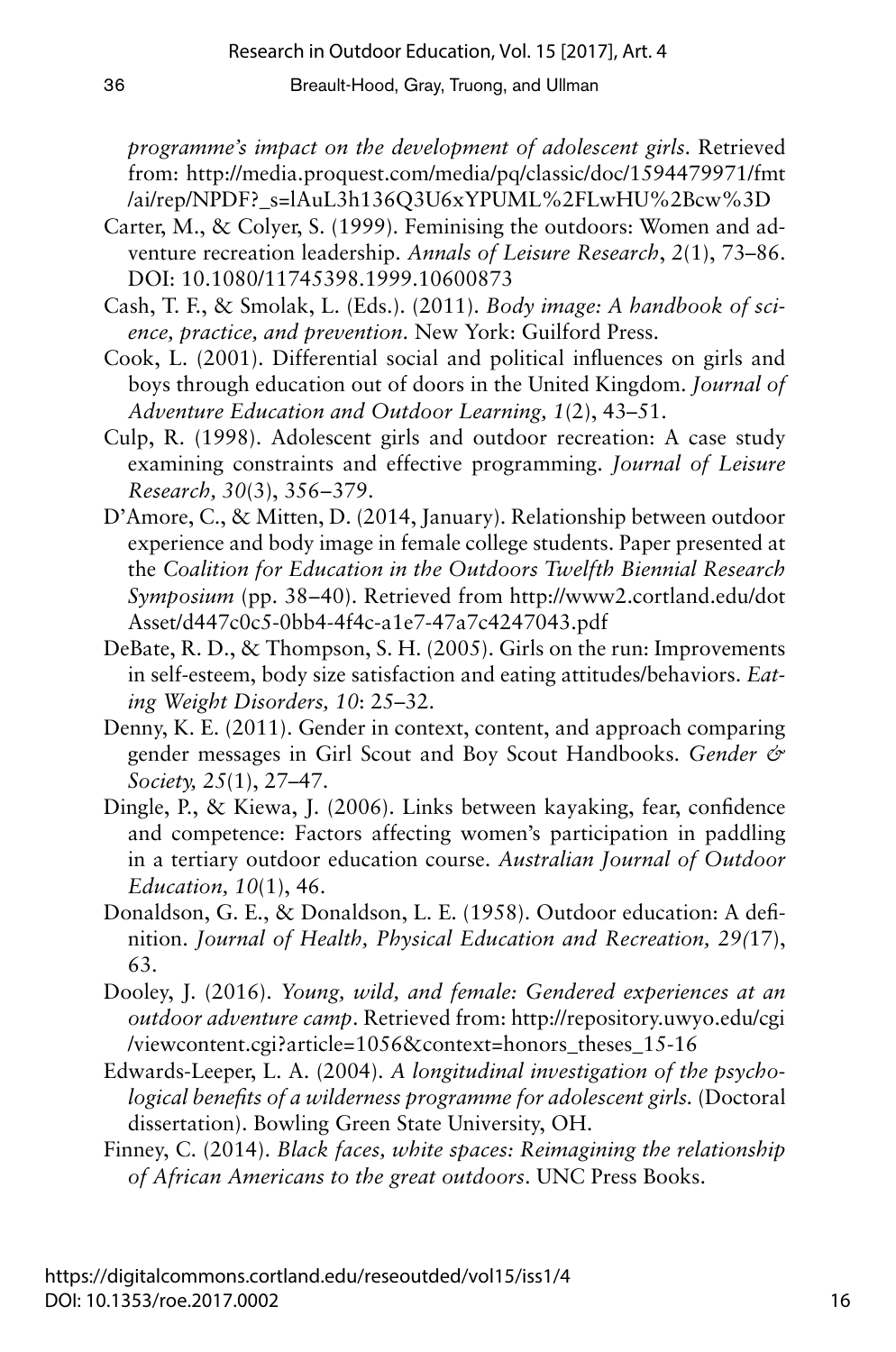*programme's impact on the development of adolescent girls*. Retrieved from: http://media.proquest.com/media/pq/classic/doc/1594479971/fmt /ai/rep/NPDF?\_s=lAuL3h136Q3U6xYPUML%2FLwHU%2Bcw%3D

- Carter, M., & Colyer, S. (1999). Feminising the outdoors: Women and adventure recreation leadership. *Annals of Leisure Research*, *2*(1), 73–86. DOI: 10.1080/11745398.1999.10600873
- Cash, T. F., & Smolak, L. (Eds.). (2011). *Body image: A handbook of science, practice, and prevention*. New York: Guilford Press.
- Cook, L. (2001). Differential social and political influences on girls and boys through education out of doors in the United Kingdom. *Journal of Adventure Education and Outdoor Learning, 1*(2), 43–51.
- Culp, R. (1998). Adolescent girls and outdoor recreation: A case study examining constraints and effective programming. *Journal of Leisure Research, 30*(3), 356–379.
- D'Amore, C., & Mitten, D. (2014, January). Relationship between outdoor experience and body image in female college students. Paper presented at the *Coalition for Education in the Outdoors Twelfth Biennial Research Symposium* (pp. 38–40). Retrieved from http://www2.cortland.edu/dot Asset/d447c0c5-0bb4-4f4c-a1e7-47a7c4247043.pdf
- DeBate, R. D., & Thompson, S. H. (2005). Girls on the run: Improvements in self-esteem, body size satisfaction and eating attitudes/behaviors. *Eating Weight Disorders, 10*: 25–32.
- Denny, K. E. (2011). Gender in context, content, and approach comparing gender messages in Girl Scout and Boy Scout Handbooks. *Gender & Society, 25*(1), 27–47.
- Dingle, P., & Kiewa, J. (2006). Links between kayaking, fear, confidence and competence: Factors affecting women's participation in paddling in a tertiary outdoor education course. *Australian Journal of Outdoor Education, 10*(1), 46.
- Donaldson, G. E., & Donaldson, L. E. (1958). Outdoor education: A definition. *Journal of Health, Physical Education and Recreation, 29(*17), 63.
- Dooley, J. (2016). *Young, wild, and female: Gendered experiences at an outdoor adventure camp*. Retrieved from: http://repository.uwyo.edu/cgi /viewcontent.cgi?article=1056&context=honors\_theses\_15-16
- Edwards-Leeper, L. A. (2004). *A longitudinal investigation of the psychological benefits of a wilderness programme for adolescent girls.* (Doctoral dissertation). Bowling Green State University, OH.
- Finney, C. (2014). *Black faces, white spaces: Reimagining the relationship of African Americans to the great outdoors*. UNC Press Books.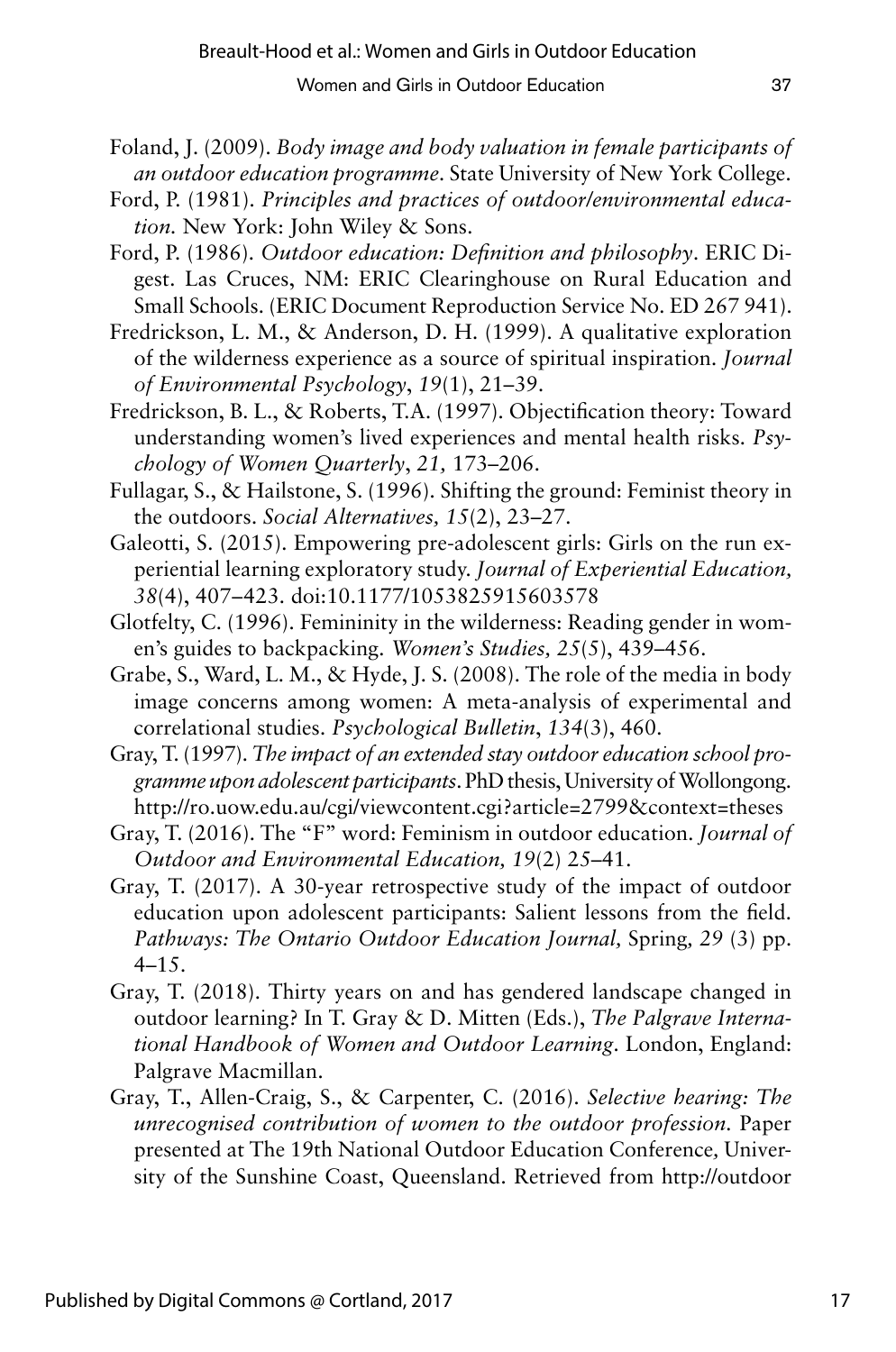- Foland, J. (2009). *Body image and body valuation in female participants of an outdoor education programme*. State University of New York College.
- Ford, P. (1981). *Principles and practices of outdoor/environmental education.* New York: John Wiley & Sons.
- Ford, P. (1986). *Outdoor education: Definition and philosophy*. ERIC Digest. Las Cruces, NM: ERIC Clearinghouse on Rural Education and Small Schools. (ERIC Document Reproduction Service No. ED 267 941).
- Fredrickson, L. M., & Anderson, D. H. (1999). A qualitative exploration of the wilderness experience as a source of spiritual inspiration. *Journal of Environmental Psychology*, *19*(1), 21–39.
- Fredrickson, B. L., & Roberts, T.A. (1997). Objectification theory: Toward understanding women's lived experiences and mental health risks. *Psychology of Women Quarterly*, *21,* 173–206.
- Fullagar, S., & Hailstone, S. (1996). Shifting the ground: Feminist theory in the outdoors. *Social Alternatives, 15*(2), 23–27.
- Galeotti, S. (2015). Empowering pre-adolescent girls: Girls on the run experiential learning exploratory study. *Journal of Experiential Education, 38*(4), 407–423. doi:10.1177/1053825915603578
- Glotfelty, C. (1996). Femininity in the wilderness: Reading gender in women's guides to backpacking. *Women's Studies, 25*(5), 439–456.
- Grabe, S., Ward, L. M., & Hyde, J. S. (2008). The role of the media in body image concerns among women: A meta-analysis of experimental and correlational studies. *Psychological Bulletin*, *134*(3), 460.
- Gray, T. (1997). *The impact of an extended stay outdoor education school programme upon adolescent participants*. PhD thesis, University of Wollongong. http://ro.uow.edu.au/cgi/viewcontent.cgi?article=2799&context=theses
- Gray, T. (2016). The "F" word: Feminism in outdoor education. *Journal of Outdoor and Environmental Education, 19*(2) 25–41.
- Gray, T. (2017). A 30-year retrospective study of the impact of outdoor education upon adolescent participants: Salient lessons from the field. *Pathways: The Ontario Outdoor Education Journal,* Spring*, 29* (3) pp. 4–15.
- Gray, T. (2018). Thirty years on and has gendered landscape changed in outdoor learning? In T. Gray & D. Mitten (Eds.), *The Palgrave International Handbook of Women and Outdoor Learning*. London, England: Palgrave Macmillan.
- Gray, T., Allen-Craig, S., & Carpenter, C. (2016). *Selective hearing: The unrecognised contribution of women to the outdoor profession.* Paper presented at The 19th National Outdoor Education Conference*,* University of the Sunshine Coast, Queensland. Retrieved from http://outdoor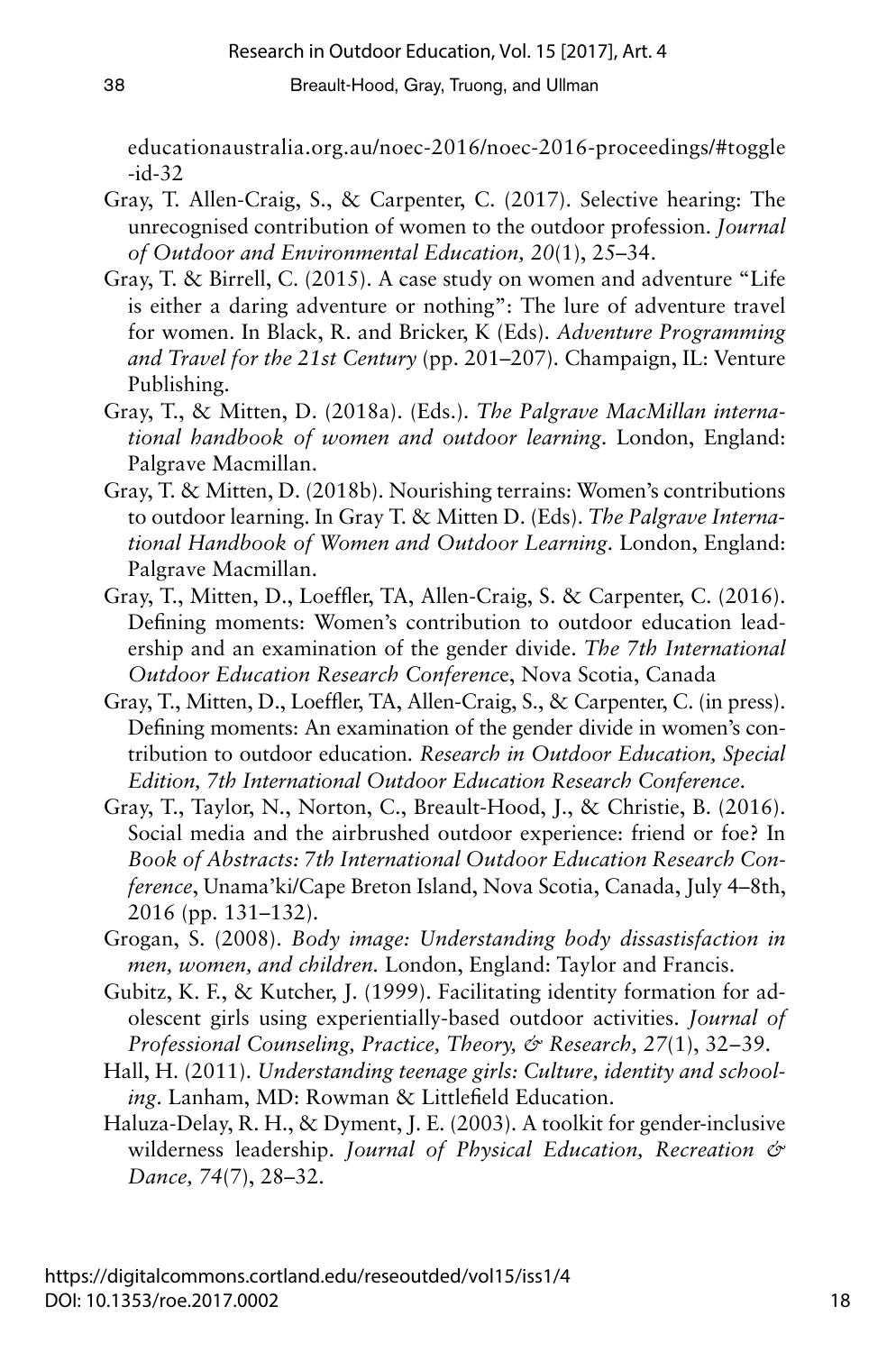educationaustralia.org.au/noec-2016/noec-2016-proceedings/#toggle -id-32

- Gray, T. Allen-Craig, S., & Carpenter, C. (2017). Selective hearing: The unrecognised contribution of women to the outdoor profession. *Journal of Outdoor and Environmental Education, 20*(1), 25–34.
- Gray, T. & Birrell, C. (2015). A case study on women and adventure "Life is either a daring adventure or nothing": The lure of adventure travel for women. In Black, R. and Bricker, K (Eds). *Adventure Programming and Travel for the 21st Century* (pp. 201–207). Champaign, IL: Venture Publishing.
- Gray, T., & Mitten, D. (2018a). (Eds.). *The Palgrave MacMillan international handbook of women and outdoor learning*. London, England: Palgrave Macmillan.
- Gray, T. & Mitten, D. (2018b). Nourishing terrains: Women's contributions to outdoor learning. In Gray T. & Mitten D. (Eds). *The Palgrave International Handbook of Women and Outdoor Learning*. London, England: Palgrave Macmillan.
- Gray, T., Mitten, D., Loeffler, TA, Allen-Craig, S. & Carpenter, C. (2016). Defining moments: Women's contribution to outdoor education leadership and an examination of the gender divide. *The 7th International Outdoor Education Research Conferenc*e, Nova Scotia, Canada
- Gray, T., Mitten, D., Loeffler, TA, Allen-Craig, S., & Carpenter, C. (in press). Defining moments: An examination of the gender divide in women's contribution to outdoor education. *Research in Outdoor Education, Special Edition, 7th International Outdoor Education Research Conference*.
- Gray, T., Taylor, N., Norton, C., Breault-Hood, J., & Christie, B. (2016). Social media and the airbrushed outdoor experience: friend or foe? In *Book of Abstracts: 7th International Outdoor Education Research Conference*, Unama'ki/Cape Breton Island, Nova Scotia, Canada, July 4–8th, 2016 (pp. 131–132).
- Grogan, S. (2008). *Body image: Understanding body dissastisfaction in men, women, and children.* London, England: Taylor and Francis.
- Gubitz, K. F., & Kutcher, J. (1999). Facilitating identity formation for adolescent girls using experientially-based outdoor activities. *Journal of Professional Counseling, Practice, Theory, & Research, 27*(1), 32–39.
- Hall, H. (2011). *Understanding teenage girls: Culture, identity and schooling*. Lanham, MD: Rowman & Littlefield Education.
- Haluza-Delay, R. H., & Dyment, J. E. (2003). A toolkit for gender-inclusive wilderness leadership. *Journal of Physical Education, Recreation & Dance, 74*(7), 28–32.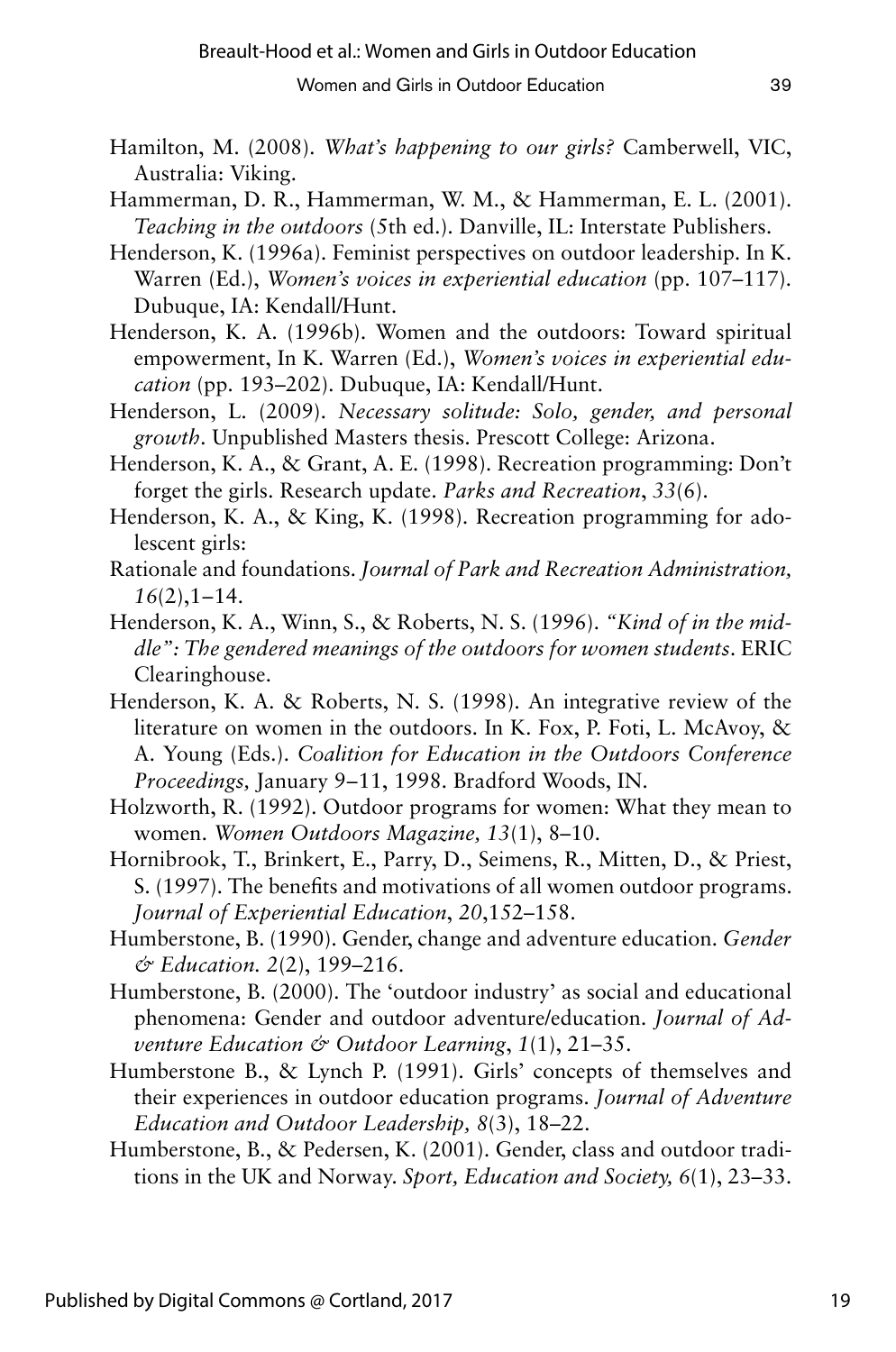- Hamilton, M. (2008). *What's happening to our girls?* Camberwell, VIC, Australia: Viking.
- Hammerman, D. R., Hammerman, W. M., & Hammerman, E. L. (2001). *Teaching in the outdoors* (5th ed.). Danville, IL: Interstate Publishers.
- Henderson, K. (1996a). Feminist perspectives on outdoor leadership. In K. Warren (Ed.), *Women's voices in experiential education* (pp. 107–117). Dubuque, IA: Kendall/Hunt.
- Henderson, K. A. (1996b). Women and the outdoors: Toward spiritual empowerment, In K. Warren (Ed.), *Women's voices in experiential education* (pp. 193–202). Dubuque, IA: Kendall/Hunt.
- Henderson, L. (2009). *Necessary solitude: Solo, gender, and personal growth*. Unpublished Masters thesis. Prescott College: Arizona.
- Henderson, K. A., & Grant, A. E. (1998). Recreation programming: Don't forget the girls. Research update. *Parks and Recreation*, *33*(6).
- Henderson, K. A., & King, K. (1998). Recreation programming for adolescent girls:
- Rationale and foundations. *Journal of Park and Recreation Administration, 16*(2),1–14.
- Henderson, K. A., Winn, S., & Roberts, N. S. (1996). *"Kind of in the middle": The gendered meanings of the outdoors for women students*. ERIC Clearinghouse.
- Henderson, K. A. & Roberts, N. S. (1998). An integrative review of the literature on women in the outdoors. In K. Fox, P. Foti, L. McAvoy, & A. Young (Eds.). *Coalition for Education in the Outdoors Conference*  Proceedings, January 9–11, 1998. Bradford Woods, IN.
- Holzworth, R. (1992). Outdoor programs for women: What they mean to women. *Women Outdoors Magazine, 13*(1), 8–10.
- Hornibrook, T., Brinkert, E., Parry, D., Seimens, R., Mitten, D., & Priest, S. (1997). The benefits and motivations of all women outdoor programs. *Journal of Experiential Education*, *20*,152–158.
- Humberstone, B. (1990). Gender, change and adventure education. *Gender & Education. 2*(2), 199–216.
- Humberstone, B. (2000). The 'outdoor industry' as social and educational phenomena: Gender and outdoor adventure/education. *Journal of Adventure Education & Outdoor Learning*, *1*(1), 21–35.
- Humberstone B., & Lynch P. (1991). Girls' concepts of themselves and their experiences in outdoor education programs. *Journal of Adventure Education and Outdoor Leadership, 8*(3), 18–22.
- Humberstone, B., & Pedersen, K. (2001). Gender, class and outdoor traditions in the UK and Norway. *Sport, Education and Society, 6*(1), 23–33.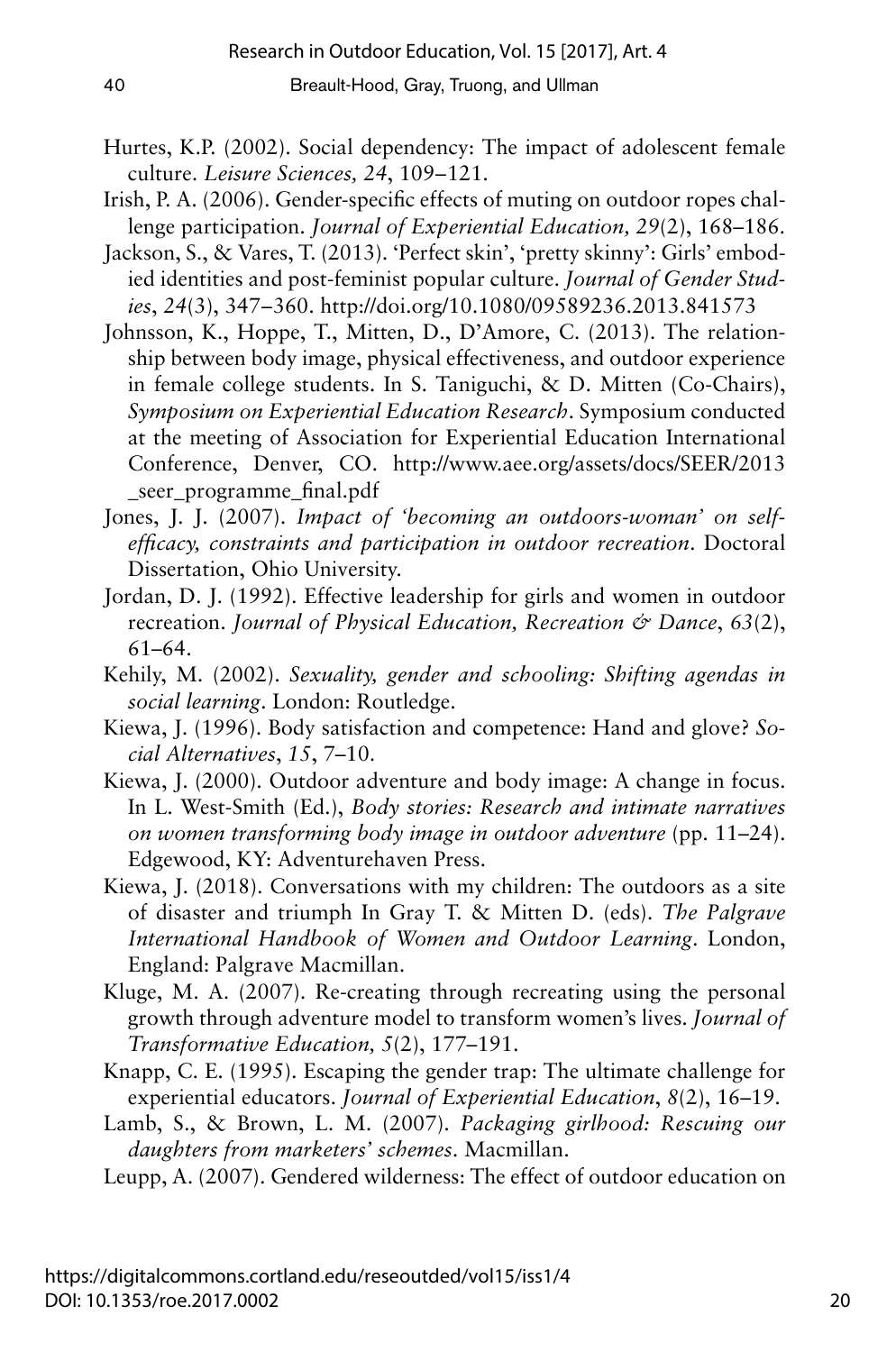- Hurtes, K.P. (2002). Social dependency: The impact of adolescent female culture. *Leisure Sciences*, 24, 109-121.
- Irish, P. A. (2006). Gender-specific effects of muting on outdoor ropes challenge participation. *Journal of Experiential Education, 29*(2), 168–186.
- Jackson, S., & Vares, T. (2013). 'Perfect skin', 'pretty skinny': Girls' embodied identities and post-feminist popular culture. *Journal of Gender Studies*, *24*(3), 347–360. http://doi.org/10.1080/09589236.2013.841573
- Johnsson, K., Hoppe, T., Mitten, D., D'Amore, C. (2013). The relationship between body image, physical effectiveness, and outdoor experience in female college students. In S. Taniguchi, & D. Mitten (Co-Chairs), *Symposium on Experiential Education Research*. Symposium conducted at the meeting of Association for Experiential Education International Conference, Denver, CO. http://www.aee.org/assets/docs/SEER/2013 seer programme final.pdf
- Jones, J. J. (2007). *Impact of 'becoming an outdoors-woman' on selfefficacy, constraints and participation in outdoor recreation*. Doctoral Dissertation, Ohio University.
- Jordan, D. J. (1992). Effective leadership for girls and women in outdoor recreation. *Journal of Physical Education, Recreation & Dance*, *63*(2), 61–64.
- Kehily, M. (2002). *Sexuality, gender and schooling: Shifting agendas in social learning*. London: Routledge.
- Kiewa, J. (1996). Body satisfaction and competence: Hand and glove? *Social Alternatives*, *15*, 7–10.
- Kiewa, J. (2000). Outdoor adventure and body image: A change in focus. In L. West-Smith (Ed.), *Body stories: Research and intimate narratives on women transforming body image in outdoor adventure* (pp. 11–24). Edgewood, KY: Adventurehaven Press.
- Kiewa, J. (2018). Conversations with my children: The outdoors as a site of disaster and triumph In Gray T. & Mitten D. (eds). *The Palgrave International Handbook of Women and Outdoor Learning*. London, England: Palgrave Macmillan.
- Kluge, M. A. (2007). Re-creating through recreating using the personal growth through adventure model to transform women's lives. *Journal of Transformative Education, 5*(2), 177–191.
- Knapp, C. E. (1995). Escaping the gender trap: The ultimate challenge for experiential educators. *Journal of Experiential Education*, *8*(2), 16–19.
- Lamb, S., & Brown, L. M. (2007). *Packaging girlhood: Rescuing our daughters from marketers' schemes*. Macmillan.
- Leupp, A. (2007). Gendered wilderness: The effect of outdoor education on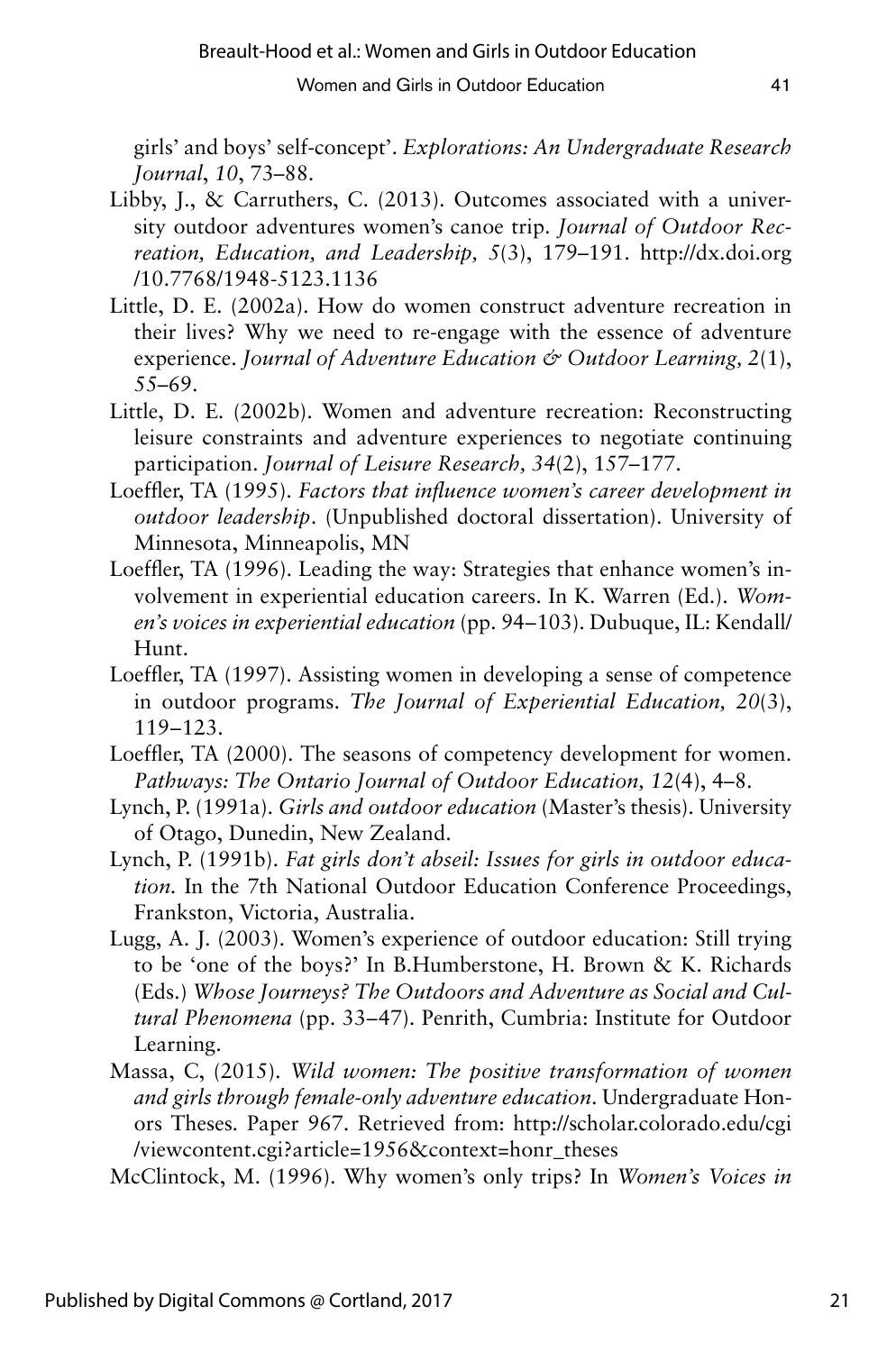girls' and boys' self-concept'. *Explorations: An Undergraduate Research Journal*, *10*, 73–88.

- Libby, J., & Carruthers, C. (2013). Outcomes associated with a university outdoor adventures women's canoe trip. *Journal of Outdoor Recreation, Education, and Leadership, 5*(3), 179–191. http://dx.doi.org /10.7768/1948-5123.1136
- Little, D. E. (2002a). How do women construct adventure recreation in their lives? Why we need to re-engage with the essence of adventure experience. *Journal of Adventure Education & Outdoor Learning, 2*(1), 55–69.
- Little, D. E. (2002b). Women and adventure recreation: Reconstructing leisure constraints and adventure experiences to negotiate continuing participation. *Journal of Leisure Research, 34*(2), 157–177.
- Loeffler, TA (1995). *Factors that influence women's career development in outdoor leadership*. (Unpublished doctoral dissertation). University of Minnesota, Minneapolis, MN
- Loeffler, TA (1996). Leading the way: Strategies that enhance women's involvement in experiential education careers. In K. Warren (Ed.). *Women's voices in experiential education* (pp. 94–103). Dubuque, IL: Kendall/ Hunt.
- Loeffler, TA (1997). Assisting women in developing a sense of competence in outdoor programs. *The Journal of Experiential Education, 20*(3), 119–123.
- Loeffler, TA (2000). The seasons of competency development for women. *Pathways: The Ontario Journal of Outdoor Education, 12*(4), 4–8.
- Lynch, P. (1991a). *Girls and outdoor education* (Master's thesis). University of Otago, Dunedin, New Zealand.
- Lynch, P. (1991b). *Fat girls don't abseil: Issues for girls in outdoor education.* In the 7th National Outdoor Education Conference Proceedings, Frankston, Victoria, Australia.
- Lugg, A. J. (2003). Women's experience of outdoor education: Still trying to be 'one of the boys?' In B.Humberstone, H. Brown & K. Richards (Eds.) *Whose Journeys? The Outdoors and Adventure as Social and Cultural Phenomena* (pp. 33–47). Penrith, Cumbria: Institute for Outdoor Learning.
- Massa, C, (2015). *Wild women: The positive transformation of women and girls through female-only adventure education*. Undergraduate Honors Theses*.* Paper 967. Retrieved from: http://scholar.colorado.edu/cgi /viewcontent.cgi?article=1956&context=honr\_theses

McClintock, M. (1996). Why women's only trips? In *Women's Voices in*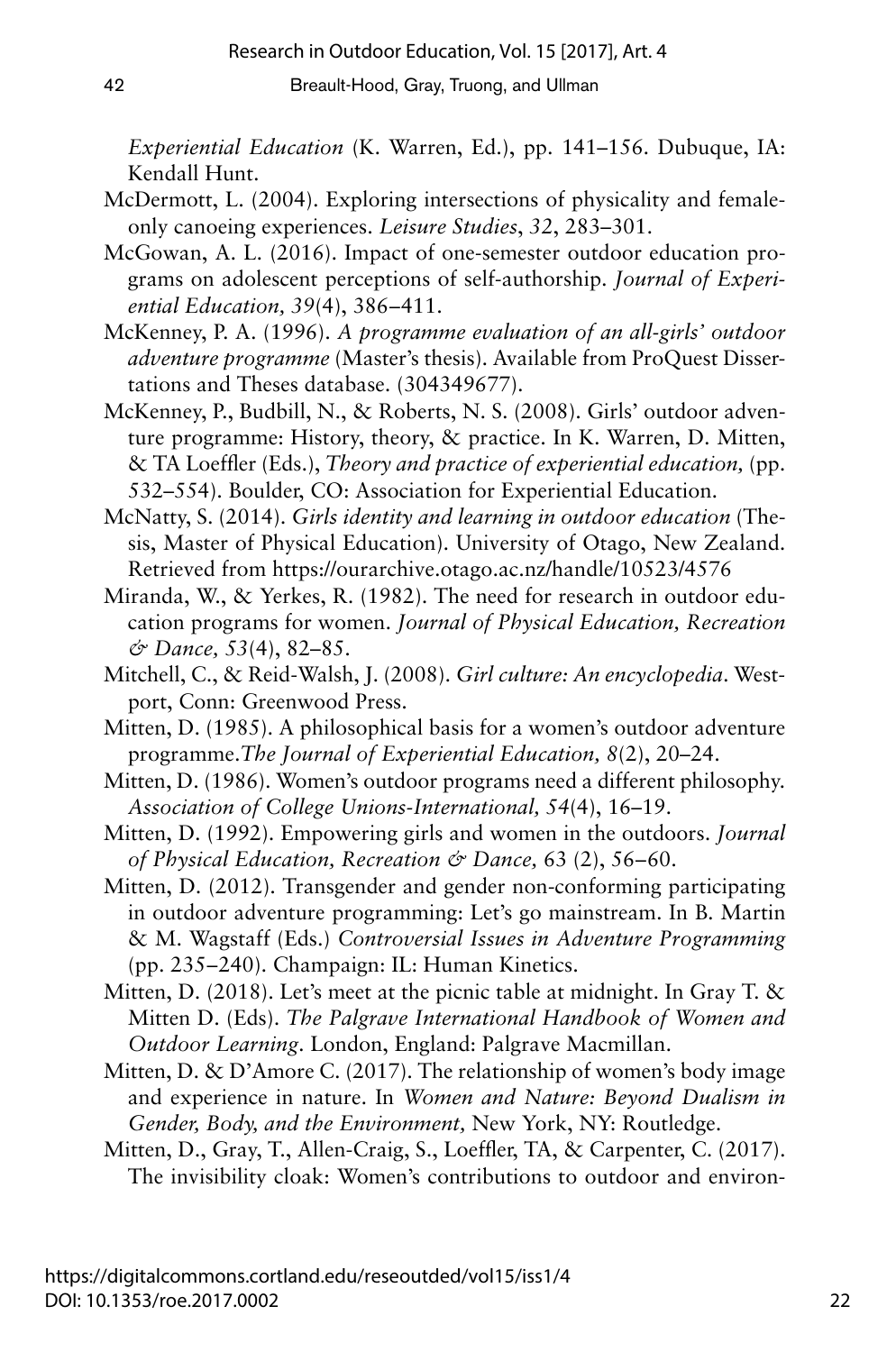*Experiential Education* (K. Warren, Ed.), pp. 141–156. Dubuque, IA: Kendall Hunt.

- McDermott, L. (2004). Exploring intersections of physicality and femaleonly canoeing experiences. *Leisure Studies*, *32*, 283–301.
- McGowan, A. L. (2016). Impact of one-semester outdoor education programs on adolescent perceptions of self-authorship. *Journal of Experiential Education, 39(4), 386-411.*
- McKenney, P. A. (1996). *A programme evaluation of an all-girls' outdoor adventure programme* (Master's thesis). Available from ProQuest Dissertations and Theses database. (304349677).
- McKenney, P., Budbill, N., & Roberts, N. S. (2008). Girls' outdoor adventure programme: History, theory, & practice. In K. Warren, D. Mitten, & TA Loeffler (Eds.), *Theory and practice of experiential education,* (pp. 532–554). Boulder, CO: Association for Experiential Education.
- McNatty, S. (2014). *Girls identity and learning in outdoor education* (Thesis, Master of Physical Education). University of Otago, New Zealand. Retrieved from https://ourarchive.otago.ac.nz/handle/10523/4576
- Miranda, W., & Yerkes, R. (1982). The need for research in outdoor education programs for women. *Journal of Physical Education, Recreation & Dance, 53*(4), 82–85.
- Mitchell, C., & Reid-Walsh, J. (2008). *Girl culture: An encyclopedia*. Westport, Conn: Greenwood Press.
- Mitten, D. (1985). A philosophical basis for a women's outdoor adventure programme.*The Journal of Experiential Education, 8*(2), 20–24.
- Mitten, D. (1986). Women's outdoor programs need a different philosophy. *Association of College Unions-International, 54*(4), 16–19.
- Mitten, D. (1992). Empowering girls and women in the outdoors. *Journal of Physical Education, Recreation & Dance,* 63 (2), 56–60.
- Mitten, D. (2012). Transgender and gender non-conforming participating in outdoor adventure programming: Let's go mainstream. In B. Martin & M. Wagstaff (Eds.) *Controversial Issues in Adventure Programming*  (pp. 235– 240). Champaign: IL: Human Kinetics.
- Mitten, D. (2018). Let's meet at the picnic table at midnight. In Gray T. & Mitten D. (Eds). *The Palgrave International Handbook of Women and Outdoor Learning*. London, England: Palgrave Macmillan.
- Mitten, D. & D'Amore C. (2017). The relationship of women's body image and experience in nature. In *Women and Nature: Beyond Dualism in Gender, Body, and the Environment,* New York, NY: Routledge.
- Mitten, D., Gray, T., Allen-Craig, S., Loeffler, TA, & Carpenter, C. (2017). The invisibility cloak: Women's contributions to outdoor and environ-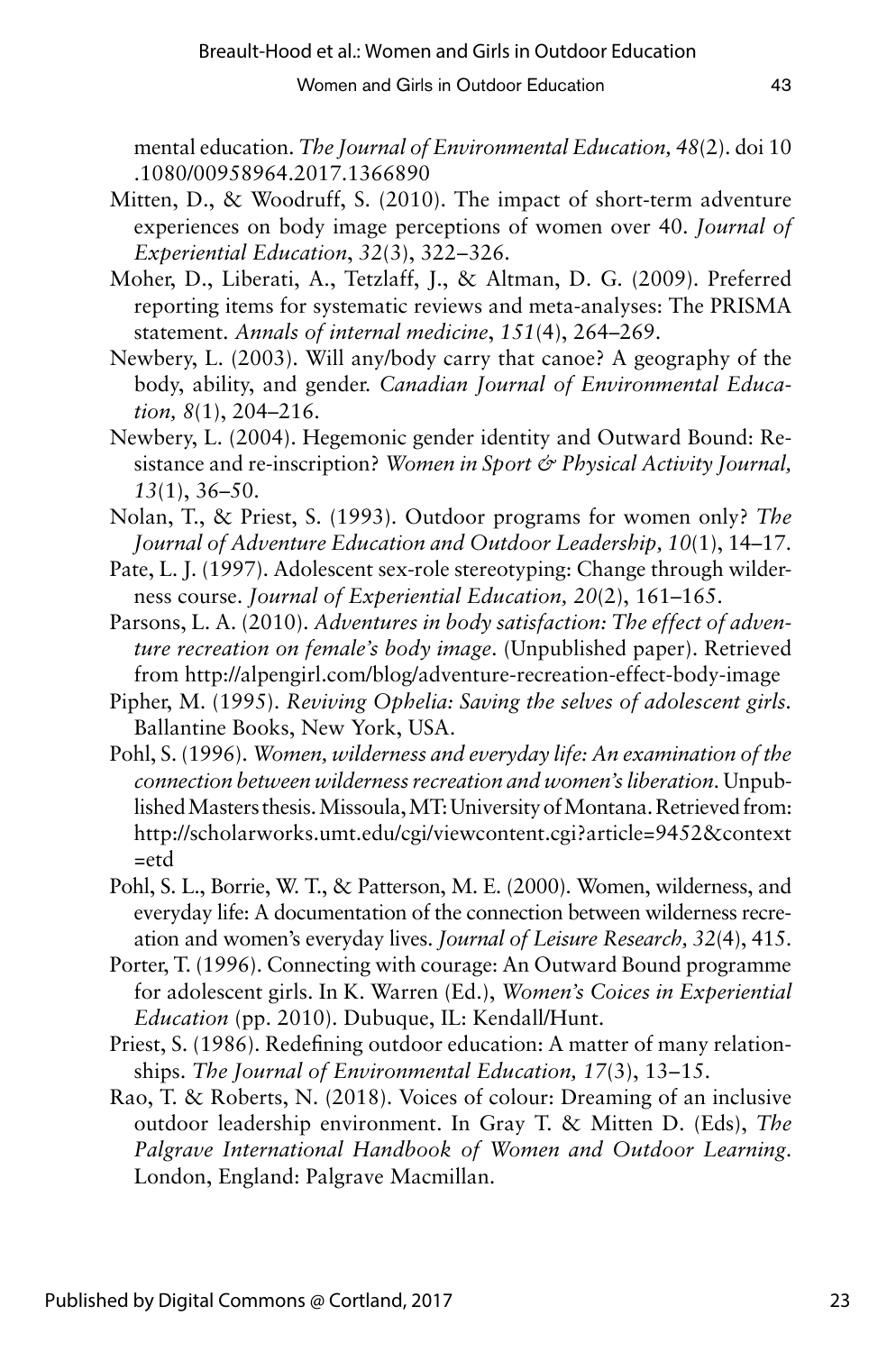mental education. *The Journal of Environmental Education, 48*(2). doi 10 .1080/00958964.2017.1366890

- Mitten, D., & Woodruff, S. (2010). The impact of short-term adventure experiences on body image perceptions of women over 40. *Journal of Experiential Education*, *32*(3), 322–326.
- Moher, D., Liberati, A., Tetzlaff, J., & Altman, D. G. (2009). Preferred reporting items for systematic reviews and meta-analyses: The PRISMA statement. *Annals of internal medicine*, *151*(4), 264–269.
- Newbery, L. (2003). Will any/body carry that canoe? A geography of the body, ability, and gender. *Canadian Journal of Environmental Education, 8*(1), 204–216.
- Newbery, L. (2004). Hegemonic gender identity and Outward Bound: Resistance and re-inscription? *Women in Sport & Physical Activity Journal, 13*(1), 36–50.
- Nolan, T., & Priest, S. (1993). Outdoor programs for women only? *The Journal of Adventure Education and Outdoor Leadership, 10*(1), 14–17.
- Pate, L. J. (1997). Adolescent sex-role stereotyping: Change through wilderness course. *Journal of Experiential Education, 20*(2), 161–165.
- Parsons, L. A. (2010). *Adventures in body satisfaction: The effect of adventure recreation on female's body image*. (Unpublished paper). Retrieved from http://alpengirl.com/blog/adventure-recreation-effect-body-image
- Pipher, M. (1995). *Reviving Ophelia: Saving the selves of adolescent girls.*  Ballantine Books, New York, USA.
- Pohl, S. (1996). *Women, wilderness and everyday life: An examination of the connection between wilderness recreation and women's liberation*. Unpublished Masters thesis. Missoula, MT: University of Montana. Retrieved from: http://scholarworks.umt.edu/cgi/viewcontent.cgi?article=9452&context  $=$ etd
- Pohl, S. L., Borrie, W. T., & Patterson, M. E. (2000). Women, wilderness, and everyday life: A documentation of the connection between wilderness recreation and women's everyday lives. *Journal of Leisure Research, 32*(4), 415.
- Porter, T. (1996). Connecting with courage: An Outward Bound programme for adolescent girls. In K. Warren (Ed.), *Women's Coices in Experiential Education* (pp. 2010). Dubuque, IL: Kendall/Hunt.
- Priest, S. (1986). Redefining outdoor education: A matter of many relationships. *The Journal of Environmental Education*, 17(3), 13–15.
- Rao, T. & Roberts, N. (2018). Voices of colour: Dreaming of an inclusive outdoor leadership environment. In Gray T. & Mitten D. (Eds), *The Palgrave International Handbook of Women and Outdoor Learning*. London, England: Palgrave Macmillan.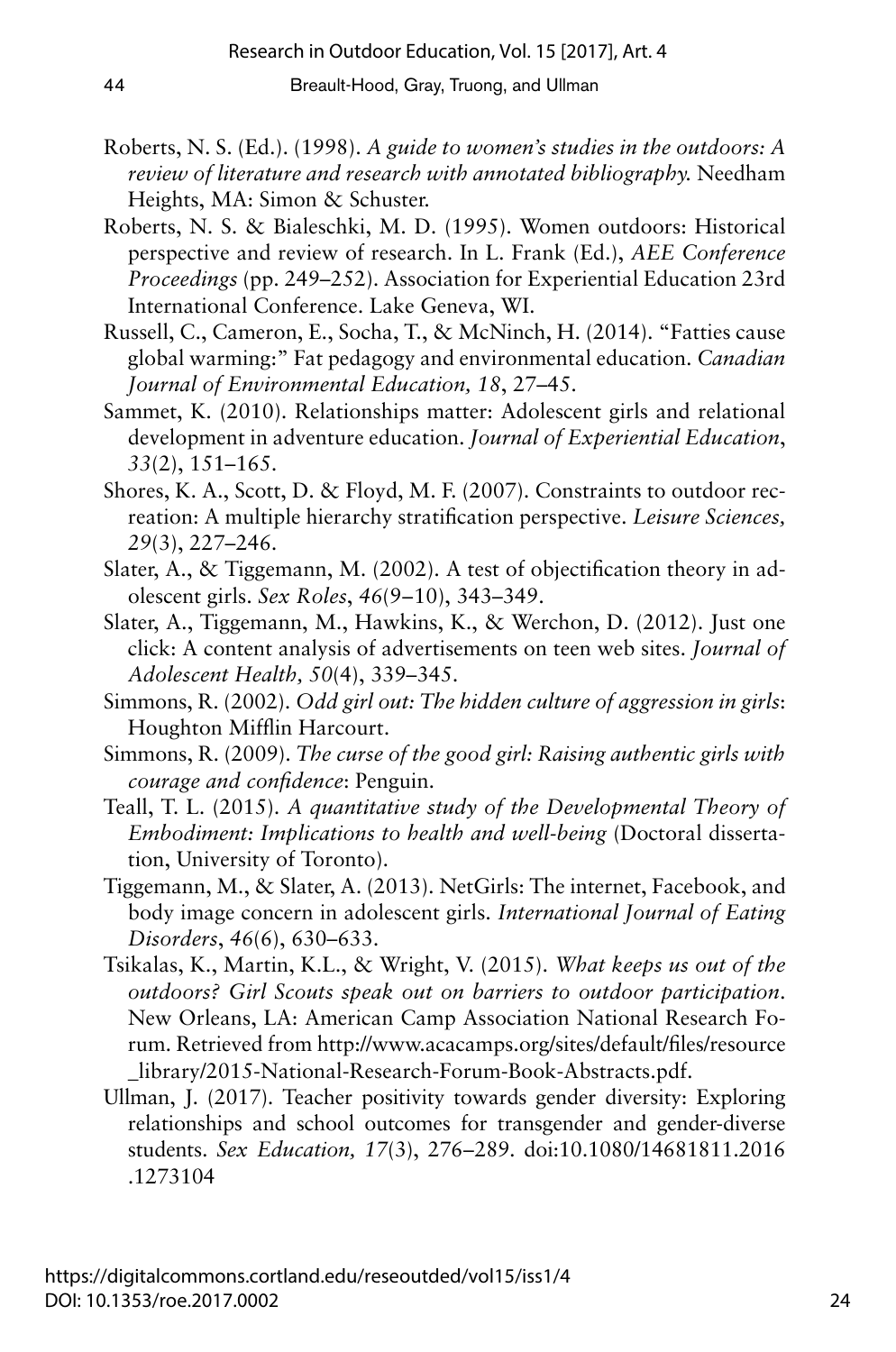- Roberts, N. S. (Ed.). (1998). *A guide to women's studies in the outdoors: A review of literature and research with annotated bibliography.* Needham Heights, MA: Simon & Schuster.
- Roberts, N. S. & Bialeschki, M. D. (1995). Women outdoors: Historical perspective and review of research. In L. Frank (Ed.), *AEE Conference Proceedings* (pp. 249–252). Association for Experiential Education 23rd International Conference. Lake Geneva, WI.
- Russell, C., Cameron, E., Socha, T., & McNinch, H. (2014). "Fatties cause global warming:" Fat pedagogy and environmental education. *Canadian Journal of Environmental Education, 18*, 27–45.
- Sammet, K. (2010). Relationships matter: Adolescent girls and relational development in adventure education. *Journal of Experiential Education*, *33*(2), 151–165.
- Shores, K. A., Scott, D. & Floyd, M. F. (2007). Constraints to outdoor recreation: A multiple hierarchy stratification perspective. *Leisure Sciences, 29*(3), 227–246.
- Slater, A., & Tiggemann, M. (2002). A test of objectification theory in adolescent girls. *Sex Roles*, *46*(9– 10), 343–349.
- Slater, A., Tiggemann, M., Hawkins, K., & Werchon, D. (2012). Just one click: A content analysis of advertisements on teen web sites. *Journal of Adolescent Health, 50*(4), 339–345.
- Simmons, R. (2002). *Odd girl out: The hidden culture of aggression in girls*: Houghton Mifflin Harcourt.
- Simmons, R. (2009). *The curse of the good girl: Raising authentic girls with courage and confidence*: Penguin.
- Teall, T. L. (2015). *A quantitative study of the Developmental Theory of Embodiment: Implications to health and well-being* (Doctoral dissertation, University of Toronto).
- Tiggemann, M., & Slater, A. (2013). NetGirls: The internet, Facebook, and body image concern in adolescent girls. *International Journal of Eating Disorders*, *46*(6), 630–633.
- Tsikalas, K., Martin, K.L., & Wright, V. (2015). *What keeps us out of the outdoors? Girl Scouts speak out on barriers to outdoor participation*. New Orleans, LA: American Camp Association National Research Forum. Retrieved from http://www.acacamps.org/sites/default/files/resource \_library/2015-National-Research-Forum-Book-Abstracts.pdf.
- Ullman, J. (2017). Teacher positivity towards gender diversity: Exploring relationships and school outcomes for transgender and gender-diverse students. *Sex Education, 17*(3), 276– 289. doi:10.1080/14681811.2016 .1273104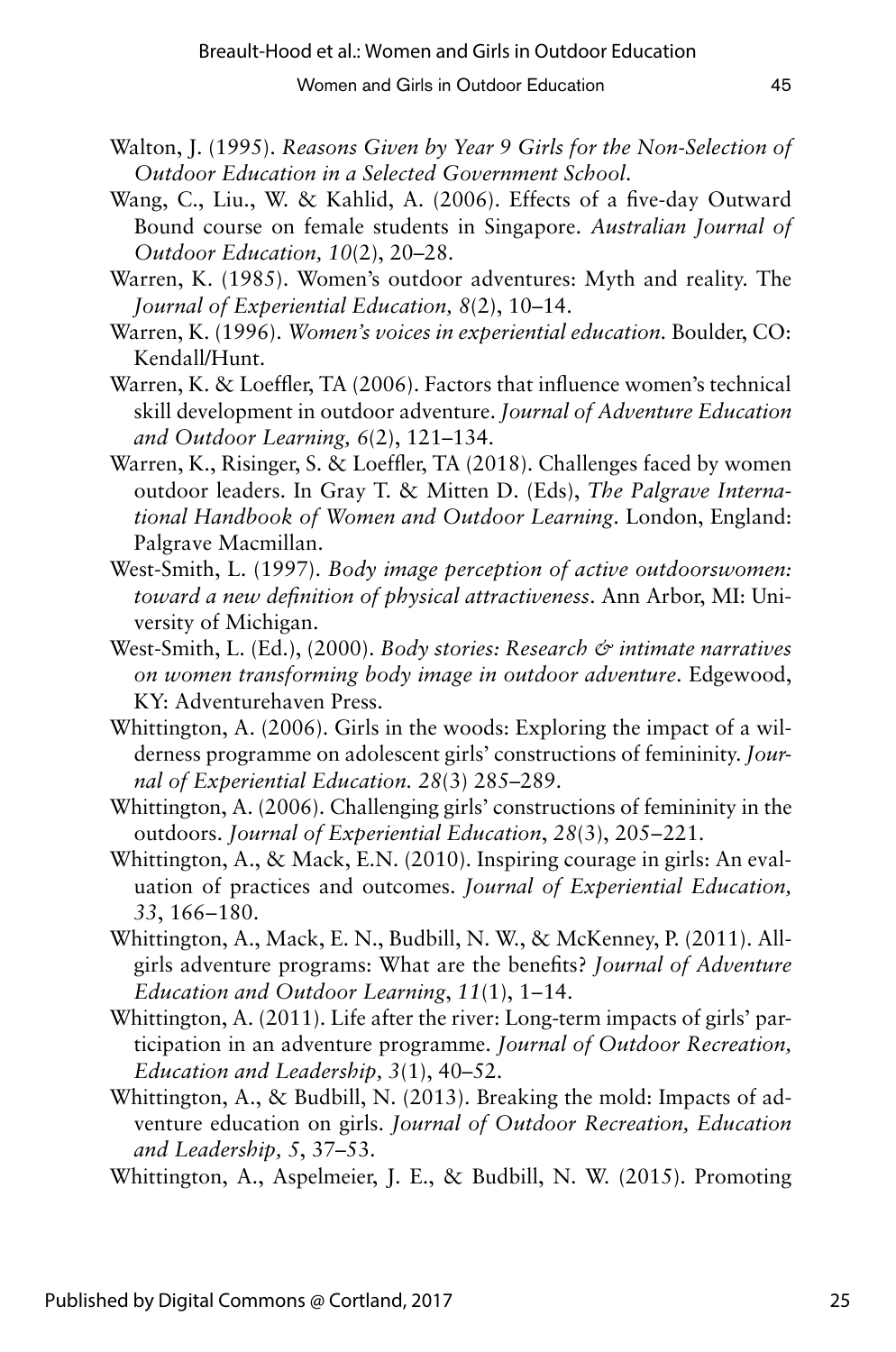- Walton, J. (1995). *Reasons Given by Year 9 Girls for the Non-Selection of Outdoor Education in a Selected Government School*.
- Wang, C., Liu., W. & Kahlid, A. (2006). Effects of a five-day Outward Bound course on female students in Singapore. *Australian Journal of Outdoor Education, 10*(2), 20–28.
- Warren, K. (1985). Women's outdoor adventures: Myth and reality. The *Journal of Experiential Education, 8*(2), 10–14.
- Warren, K. (1996). *Women's voices in experiential education.* Boulder, CO: Kendall/Hunt.
- Warren, K. & Loeffler, TA (2006). Factors that influence women's technical skill development in outdoor adventure. *Journal of Adventure Education and Outdoor Learning, 6*(2), 121–134.
- Warren, K., Risinger, S. & Loeffler, TA (2018). Challenges faced by women outdoor leaders. In Gray T. & Mitten D. (Eds), *The Palgrave International Handbook of Women and Outdoor Learning*. London, England: Palgrave Macmillan.
- West-Smith, L. (1997). *Body image perception of active outdoorswomen: toward a new definition of physical attractiveness*. Ann Arbor, MI: University of Michigan.
- West-Smith, L. (Ed.), (2000). *Body stories: Research & intimate narratives on women transforming body image in outdoor adventure*. Edgewood, KY: Adventurehaven Press.
- Whittington, A. (2006). Girls in the woods: Exploring the impact of a wilderness programme on adolescent girls' constructions of femininity. *Journal of Experiential Education. 28*(3) 285–289.
- Whittington, A. (2006). Challenging girls' constructions of femininity in the outdoors. *Journal of Experiential Education*, *28*(3), 205–221.
- Whittington, A., & Mack, E.N. (2010). Inspiring courage in girls: An evaluation of practices and outcomes. *Journal of Experiential Education, 33*, 166– 180.
- Whittington, A., Mack, E. N., Budbill, N. W., & McKenney, P. (2011). Allgirls adventure programs: What are the benefits? *Journal of Adventure Education and Outdoor Learning*, *11*(1), 1–14.
- Whittington, A. (2011). Life after the river: Long-term impacts of girls' participation in an adventure programme. *Journal of Outdoor Recreation, Education and Leadership, 3*(1), 40–52.
- Whittington, A., & Budbill, N. (2013). Breaking the mold: Impacts of adventure education on girls. *Journal of Outdoor Recreation, Education and Leadership, 5*, 37–53.

Whittington, A., Aspelmeier, J. E., & Budbill, N. W. (2015). Promoting